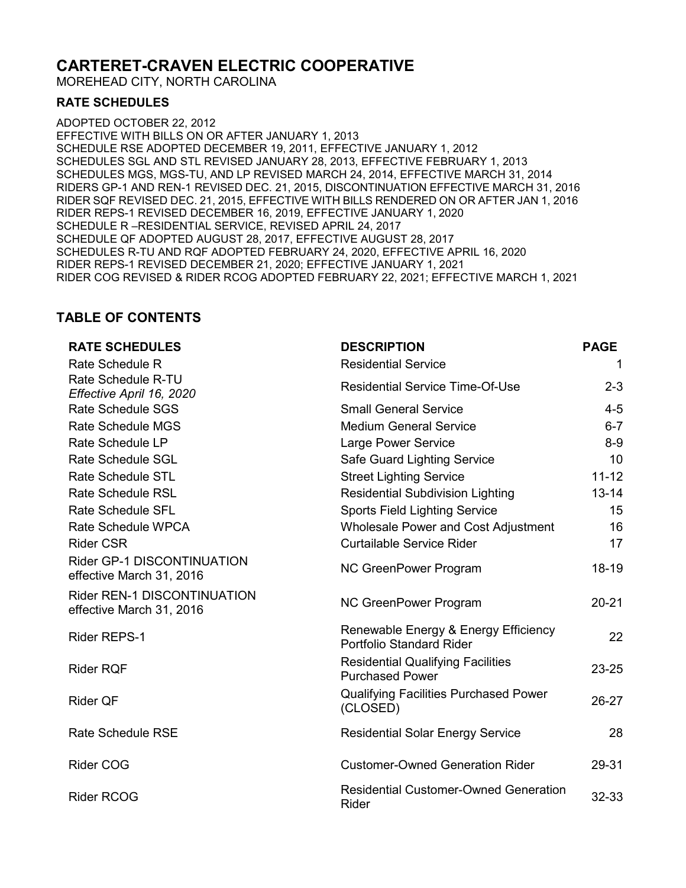# **CARTERET-CRAVEN ELECTRIC COOPERATIVE**

MOREHEAD CITY, NORTH CAROLINA

#### **RATE SCHEDULES**

ADOPTED OCTOBER 22, 2012 EFFECTIVE WITH BILLS ON OR AFTER JANUARY 1, 2013 SCHEDULE RSE ADOPTED DECEMBER 19, 2011, EFFECTIVE JANUARY 1, 2012 SCHEDULES SGL AND STL REVISED JANUARY 28, 2013, EFFECTIVE FEBRUARY 1, 2013 SCHEDULES MGS, MGS-TU, AND LP REVISED MARCH 24, 2014, EFFECTIVE MARCH 31, 2014 RIDERS GP-1 AND REN-1 REVISED DEC. 21, 2015, DISCONTINUATION EFFECTIVE MARCH 31, 2016 RIDER SQF REVISED DEC. 21, 2015, EFFECTIVE WITH BILLS RENDERED ON OR AFTER JAN 1, 2016 RIDER REPS-1 REVISED DECEMBER 16, 2019, EFFECTIVE JANUARY 1, 2020 SCHEDULE R –RESIDENTIAL SERVICE, REVISED APRIL 24, 2017 SCHEDULE QF ADOPTED AUGUST 28, 2017, EFFECTIVE AUGUST 28, 2017 SCHEDULES R-TU AND RQF ADOPTED FEBRUARY 24, 2020, EFFECTIVE APRIL 16, 2020 RIDER REPS-1 REVISED DECEMBER 21, 2020; EFFECTIVE JANUARY 1, 2021 RIDER COG REVISED & RIDER RCOG ADOPTED FEBRUARY 22, 2021; EFFECTIVE MARCH 1, 2021

## **TABLE OF CONTENTS**

| <b>RATE SCHEDULES</b>                                   | <b>DESCRIPTION</b>                                                      | <b>PAGE</b> |
|---------------------------------------------------------|-------------------------------------------------------------------------|-------------|
| Rate Schedule R                                         | <b>Residential Service</b>                                              | 1           |
| Rate Schedule R-TU<br>Effective April 16, 2020          | <b>Residential Service Time-Of-Use</b>                                  | $2 - 3$     |
| <b>Rate Schedule SGS</b>                                | <b>Small General Service</b>                                            | $4 - 5$     |
| <b>Rate Schedule MGS</b>                                | <b>Medium General Service</b>                                           | $6 - 7$     |
| <b>Rate Schedule LP</b>                                 | Large Power Service                                                     | $8 - 9$     |
| <b>Rate Schedule SGL</b>                                | <b>Safe Guard Lighting Service</b>                                      | 10          |
| <b>Rate Schedule STL</b>                                | <b>Street Lighting Service</b>                                          | $11 - 12$   |
| <b>Rate Schedule RSL</b>                                | <b>Residential Subdivision Lighting</b>                                 | $13 - 14$   |
| <b>Rate Schedule SFL</b>                                | <b>Sports Field Lighting Service</b>                                    | 15          |
| Rate Schedule WPCA                                      | <b>Wholesale Power and Cost Adjustment</b>                              | 16          |
| <b>Rider CSR</b>                                        | Curtailable Service Rider                                               | 17          |
| Rider GP-1 DISCONTINUATION<br>effective March 31, 2016  | NC GreenPower Program                                                   | $18 - 19$   |
| Rider REN-1 DISCONTINUATION<br>effective March 31, 2016 | NC GreenPower Program                                                   | $20 - 21$   |
| <b>Rider REPS-1</b>                                     | Renewable Energy & Energy Efficiency<br><b>Portfolio Standard Rider</b> | 22          |
| <b>Rider RQF</b>                                        | <b>Residential Qualifying Facilities</b><br><b>Purchased Power</b>      | 23-25       |
| <b>Rider QF</b>                                         | <b>Qualifying Facilities Purchased Power</b><br>(CLOSED)                | $26-27$     |
| <b>Rate Schedule RSE</b>                                | <b>Residential Solar Energy Service</b>                                 | 28          |
| <b>Rider COG</b>                                        | <b>Customer-Owned Generation Rider</b>                                  | 29-31       |
| <b>Rider RCOG</b>                                       | <b>Residential Customer-Owned Generation</b><br>Rider                   | 32-33       |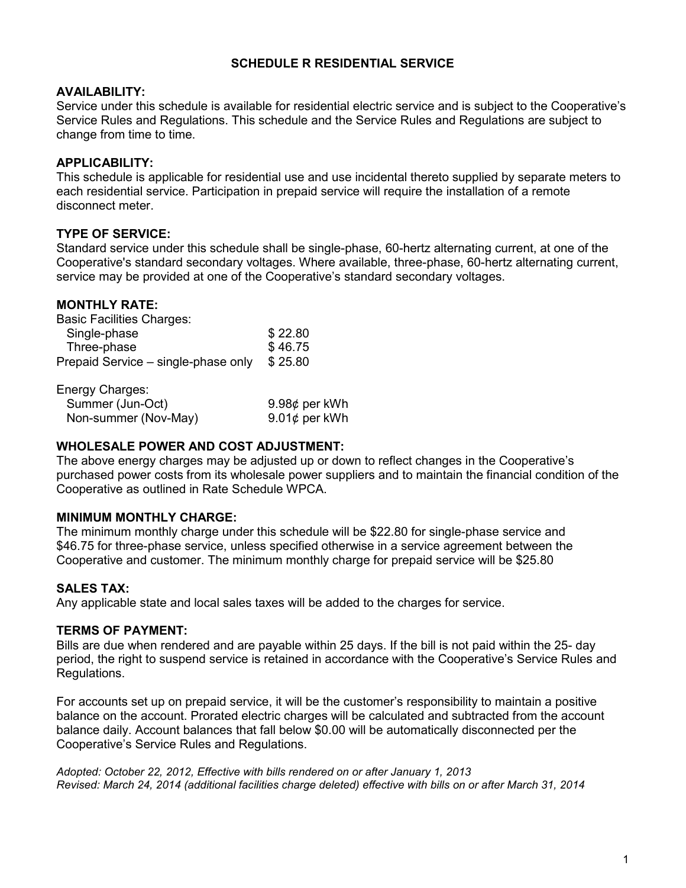### **SCHEDULE R RESIDENTIAL SERVICE**

#### **AVAILABILITY:**

Service under this schedule is available for residential electric service and is subject to the Cooperative's Service Rules and Regulations. This schedule and the Service Rules and Regulations are subject to change from time to time.

## **APPLICABILITY:**

This schedule is applicable for residential use and use incidental thereto supplied by separate meters to each residential service. Participation in prepaid service will require the installation of a remote disconnect meter.

## **TYPE OF SERVICE:**

Standard service under this schedule shall be single-phase, 60-hertz alternating current, at one of the Cooperative's standard secondary voltages. Where available, three-phase, 60-hertz alternating current, service may be provided at one of the Cooperative's standard secondary voltages.

#### **MONTHLY RATE:**

| \$22.80 |
|---------|
| \$46.75 |
| \$25.80 |
|         |

| Energy Charges:      |                     |
|----------------------|---------------------|
| Summer (Jun-Oct)     | 9.98 $\phi$ per kWh |
| Non-summer (Nov-May) | 9.01¢ per kWh       |

### **WHOLESALE POWER AND COST ADJUSTMENT:**

The above energy charges may be adjusted up or down to reflect changes in the Cooperative's purchased power costs from its wholesale power suppliers and to maintain the financial condition of the Cooperative as outlined in Rate Schedule WPCA.

#### **MINIMUM MONTHLY CHARGE:**

The minimum monthly charge under this schedule will be \$22.80 for single-phase service and \$46.75 for three-phase service, unless specified otherwise in a service agreement between the Cooperative and customer. The minimum monthly charge for prepaid service will be \$25.80

#### **SALES TAX:**

Any applicable state and local sales taxes will be added to the charges for service.

#### **TERMS OF PAYMENT:**

Bills are due when rendered and are payable within 25 days. If the bill is not paid within the 25- day period, the right to suspend service is retained in accordance with the Cooperative's Service Rules and Regulations.

For accounts set up on prepaid service, it will be the customer's responsibility to maintain a positive balance on the account. Prorated electric charges will be calculated and subtracted from the account balance daily. Account balances that fall below \$0.00 will be automatically disconnected per the Cooperative's Service Rules and Regulations.

*Adopted: October 22, 2012, Effective with bills rendered on or after January 1, 2013 Revised: March 24, 2014 (additional facilities charge deleted) effective with bills on or after March 31, 2014*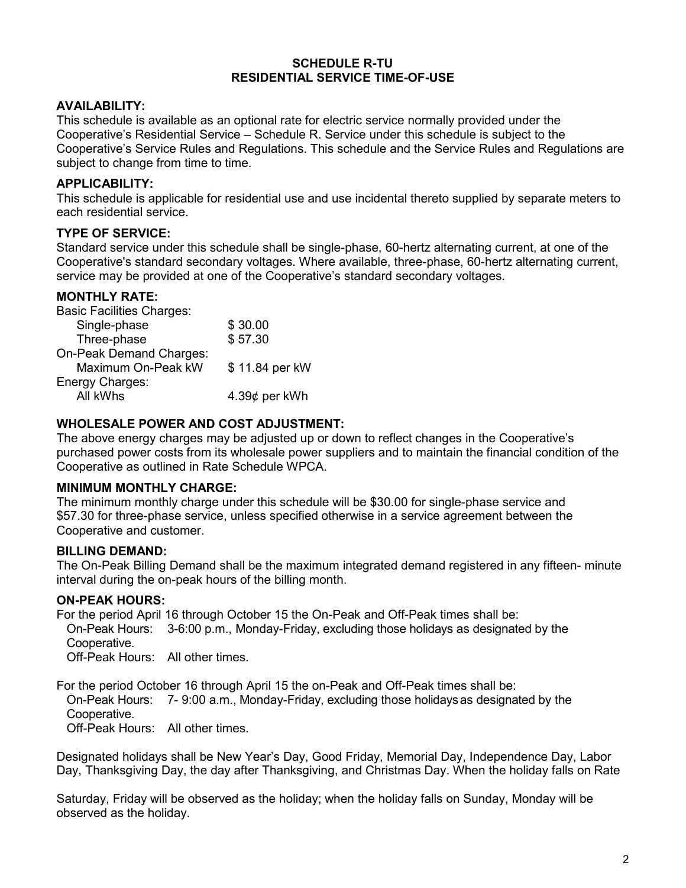#### **SCHEDULE R-TU RESIDENTIAL SERVICE TIME-OF-USE**

## **AVAILABILITY:**

This schedule is available as an optional rate for electric service normally provided under the Cooperative's Residential Service – Schedule R. Service under this schedule is subject to the Cooperative's Service Rules and Regulations. This schedule and the Service Rules and Regulations are subject to change from time to time.

## **APPLICABILITY:**

This schedule is applicable for residential use and use incidental thereto supplied by separate meters to each residential service.

## **TYPE OF SERVICE:**

Standard service under this schedule shall be single-phase, 60-hertz alternating current, at one of the Cooperative's standard secondary voltages. Where available, three-phase, 60-hertz alternating current, service may be provided at one of the Cooperative's standard secondary voltages.

## **MONTHLY RATE:**

| <b>Basic Facilities Charges:</b> |                     |
|----------------------------------|---------------------|
| Single-phase                     | \$30.00             |
| Three-phase                      | \$57.30             |
| On-Peak Demand Charges:          |                     |
| Maximum On-Peak kW               | \$11.84 per kW      |
| Energy Charges:                  |                     |
| All kWhs                         | 4.39 $\phi$ per kWh |
|                                  |                     |

## **WHOLESALE POWER AND COST ADJUSTMENT:**

The above energy charges may be adjusted up or down to reflect changes in the Cooperative's purchased power costs from its wholesale power suppliers and to maintain the financial condition of the Cooperative as outlined in Rate Schedule WPCA.

#### **MINIMUM MONTHLY CHARGE:**

The minimum monthly charge under this schedule will be \$30.00 for single-phase service and \$57.30 for three-phase service, unless specified otherwise in a service agreement between the Cooperative and customer.

#### **BILLING DEMAND:**

The On-Peak Billing Demand shall be the maximum integrated demand registered in any fifteen- minute interval during the on-peak hours of the billing month.

#### **ON-PEAK HOURS:**

For the period April 16 through October 15 the On-Peak and Off-Peak times shall be: On-Peak Hours: 3-6:00 p.m., Monday-Friday, excluding those holidays as designated by the Cooperative. Off-Peak Hours: All other times.

For the period October 16 through April 15 the on-Peak and Off-Peak times shall be: On-Peak Hours: 7- 9:00 a.m., Monday-Friday, excluding those holidaysas designated by the Cooperative. Off-Peak Hours: All other times.

Designated holidays shall be New Year's Day, Good Friday, Memorial Day, Independence Day, Labor Day, Thanksgiving Day, the day after Thanksgiving, and Christmas Day. When the holiday falls on Rate

Saturday, Friday will be observed as the holiday; when the holiday falls on Sunday, Monday will be observed as the holiday.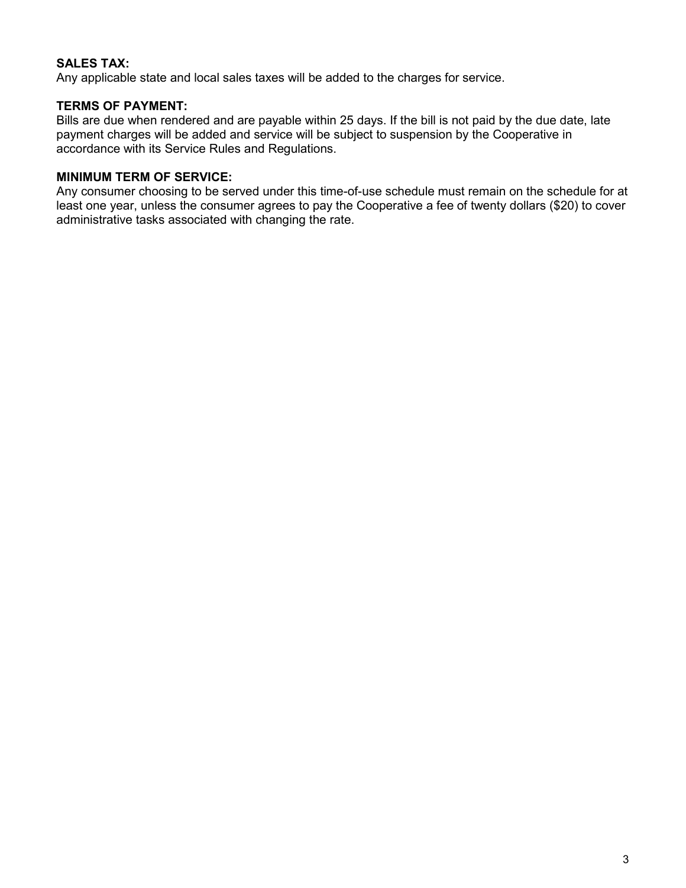## **SALES TAX:**

Any applicable state and local sales taxes will be added to the charges for service.

#### **TERMS OF PAYMENT:**

Bills are due when rendered and are payable within 25 days. If the bill is not paid by the due date, late payment charges will be added and service will be subject to suspension by the Cooperative in accordance with its Service Rules and Regulations.

#### **MINIMUM TERM OF SERVICE:**

Any consumer choosing to be served under this time-of-use schedule must remain on the schedule for at least one year, unless the consumer agrees to pay the Cooperative a fee of twenty dollars (\$20) to cover administrative tasks associated with changing the rate.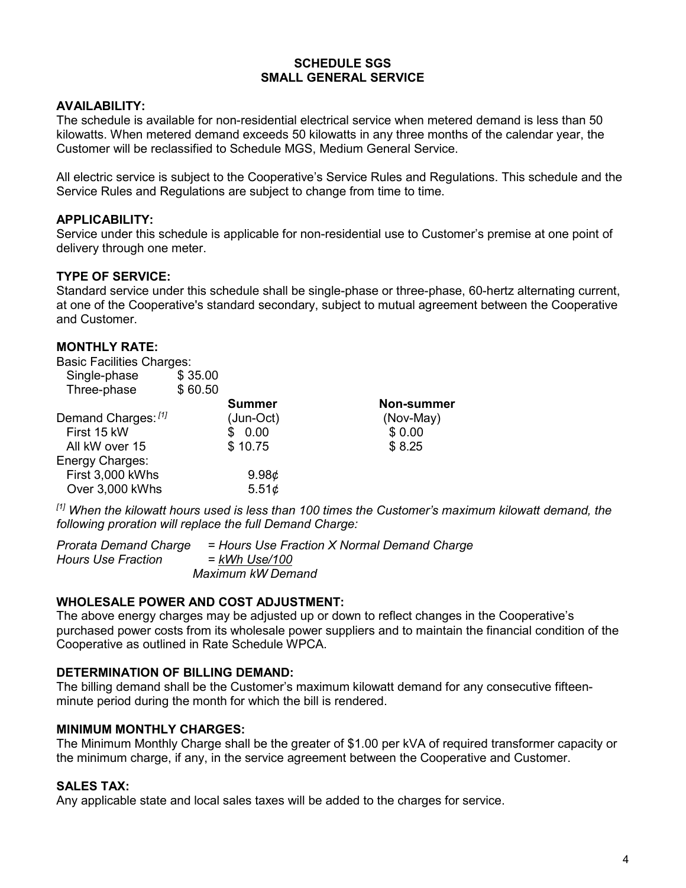#### **SCHEDULE SGS SMALL GENERAL SERVICE**

#### **AVAILABILITY:**

The schedule is available for non-residential electrical service when metered demand is less than 50 kilowatts. When metered demand exceeds 50 kilowatts in any three months of the calendar year, the Customer will be reclassified to Schedule MGS, Medium General Service.

All electric service is subject to the Cooperative's Service Rules and Regulations. This schedule and the Service Rules and Regulations are subject to change from time to time.

#### **APPLICABILITY:**

Service under this schedule is applicable for non-residential use to Customer's premise at one point of delivery through one meter.

#### **TYPE OF SERVICE:**

Standard service under this schedule shall be single-phase or three-phase, 60-hertz alternating current, at one of the Cooperative's standard secondary, subject to mutual agreement between the Cooperative and Customer.

### **MONTHLY RATE:**

| <b>Basic Facilities Charges:</b> |         |                   |                   |
|----------------------------------|---------|-------------------|-------------------|
| Single-phase                     | \$35.00 |                   |                   |
| Three-phase                      | \$60.50 |                   |                   |
|                                  |         | Summer            | <b>Non-summer</b> |
| Demand Charges: [1]              |         | (Jun-Oct)         | (Nov-May)         |
| First 15 kW                      |         | 0.00              | \$0.00            |
| All kW over 15                   |         | \$10.75           | \$8.25            |
| Energy Charges:                  |         |                   |                   |
| First 3,000 kWhs                 |         | 9.98 <sub>¢</sub> |                   |
| Over 3,000 kWhs                  |         | 5.51¢             |                   |
|                                  |         |                   |                   |

*[1] When the kilowatt hours used is less than 100 times the Customer's maximum kilowatt demand, the following proration will replace the full Demand Charge:*

*Prorata Demand Charge = Hours Use Fraction X Normal Demand Charge*  $Hours$  *Use Fraction Maximum kW Demand*

#### **WHOLESALE POWER AND COST ADJUSTMENT:**

The above energy charges may be adjusted up or down to reflect changes in the Cooperative's purchased power costs from its wholesale power suppliers and to maintain the financial condition of the Cooperative as outlined in Rate Schedule WPCA.

#### **DETERMINATION OF BILLING DEMAND:**

The billing demand shall be the Customer's maximum kilowatt demand for any consecutive fifteenminute period during the month for which the bill is rendered.

#### **MINIMUM MONTHLY CHARGES:**

The Minimum Monthly Charge shall be the greater of \$1.00 per kVA of required transformer capacity or the minimum charge, if any, in the service agreement between the Cooperative and Customer.

### **SALES TAX:**

Any applicable state and local sales taxes will be added to the charges for service.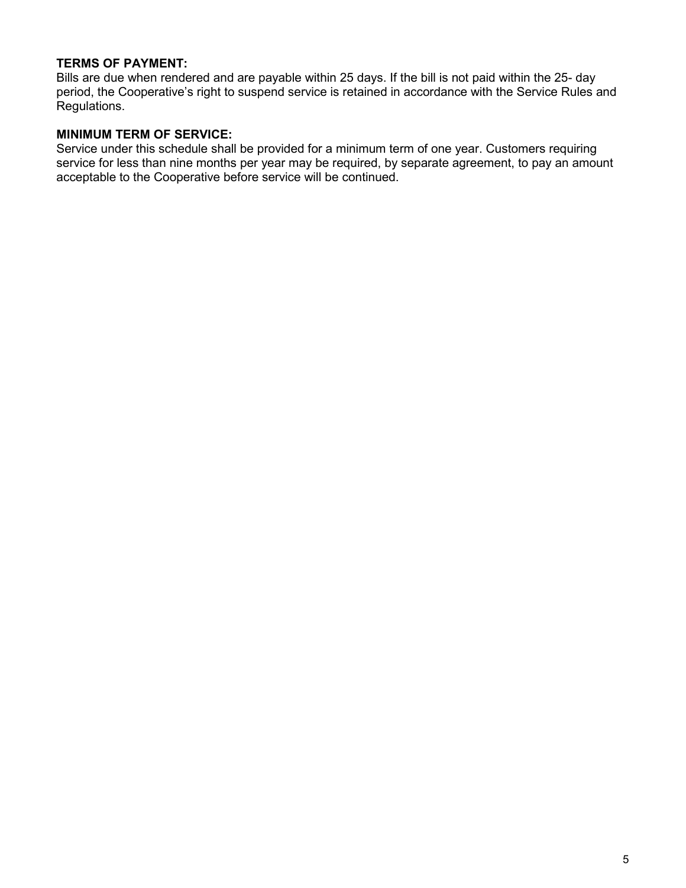### **TERMS OF PAYMENT:**

Bills are due when rendered and are payable within 25 days. If the bill is not paid within the 25- day period, the Cooperative's right to suspend service is retained in accordance with the Service Rules and Regulations.

#### **MINIMUM TERM OF SERVICE:**

Service under this schedule shall be provided for a minimum term of one year. Customers requiring service for less than nine months per year may be required, by separate agreement, to pay an amount acceptable to the Cooperative before service will be continued.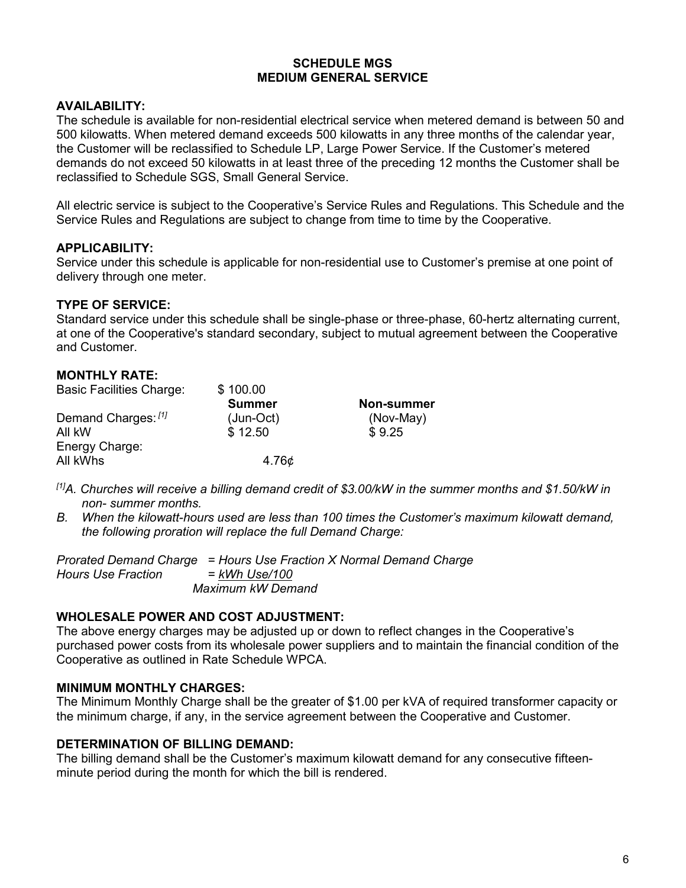#### **SCHEDULE MGS MEDIUM GENERAL SERVICE**

### **AVAILABILITY:**

The schedule is available for non-residential electrical service when metered demand is between 50 and 500 kilowatts. When metered demand exceeds 500 kilowatts in any three months of the calendar year, the Customer will be reclassified to Schedule LP, Large Power Service. If the Customer's metered demands do not exceed 50 kilowatts in at least three of the preceding 12 months the Customer shall be reclassified to Schedule SGS, Small General Service.

All electric service is subject to the Cooperative's Service Rules and Regulations. This Schedule and the Service Rules and Regulations are subject to change from time to time by the Cooperative.

#### **APPLICABILITY:**

Service under this schedule is applicable for non-residential use to Customer's premise at one point of delivery through one meter.

### **TYPE OF SERVICE:**

Standard service under this schedule shall be single-phase or three-phase, 60-hertz alternating current, at one of the Cooperative's standard secondary, subject to mutual agreement between the Cooperative and Customer.

| \$100.00      |                   |
|---------------|-------------------|
| <b>Summer</b> | <b>Non-summer</b> |
| $(Jun-Oct)$   | (Nov-May)         |
| \$12.50       | \$9.25            |
|               |                   |
| 4.76¢         |                   |
|               |                   |

- *[1]A. Churches will receive a billing demand credit of \$3.00/kW in the summer months and \$1.50/kW in non- summer months.*
- *B. When the kilowatt-hours used are less than 100 times the Customer's maximum kilowatt demand, the following proration will replace the full Demand Charge:*

*Prorated Demand Charge = Hours Use Fraction X Normal Demand Charge Hours Use Fraction = kWh Use/100 Maximum kW Demand*

#### **WHOLESALE POWER AND COST ADJUSTMENT:**

The above energy charges may be adjusted up or down to reflect changes in the Cooperative's purchased power costs from its wholesale power suppliers and to maintain the financial condition of the Cooperative as outlined in Rate Schedule WPCA.

#### **MINIMUM MONTHLY CHARGES:**

The Minimum Monthly Charge shall be the greater of \$1.00 per kVA of required transformer capacity or the minimum charge, if any, in the service agreement between the Cooperative and Customer.

#### **DETERMINATION OF BILLING DEMAND:**

The billing demand shall be the Customer's maximum kilowatt demand for any consecutive fifteenminute period during the month for which the bill is rendered.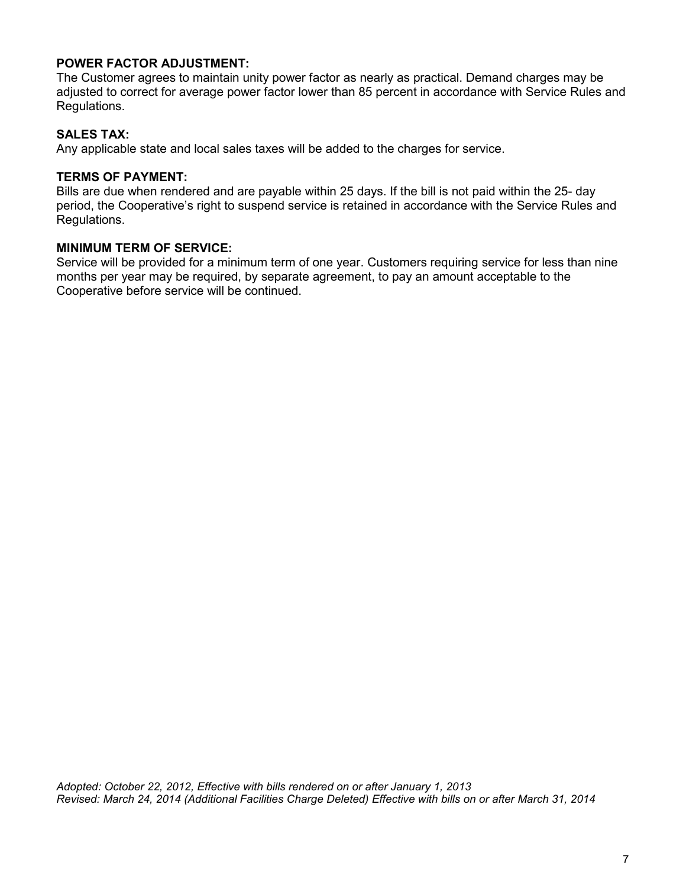## **POWER FACTOR ADJUSTMENT:**

The Customer agrees to maintain unity power factor as nearly as practical. Demand charges may be adjusted to correct for average power factor lower than 85 percent in accordance with Service Rules and Regulations.

### **SALES TAX:**

Any applicable state and local sales taxes will be added to the charges for service.

#### **TERMS OF PAYMENT:**

Bills are due when rendered and are payable within 25 days. If the bill is not paid within the 25- day period, the Cooperative's right to suspend service is retained in accordance with the Service Rules and Regulations.

#### **MINIMUM TERM OF SERVICE:**

Service will be provided for a minimum term of one year. Customers requiring service for less than nine months per year may be required, by separate agreement, to pay an amount acceptable to the Cooperative before service will be continued.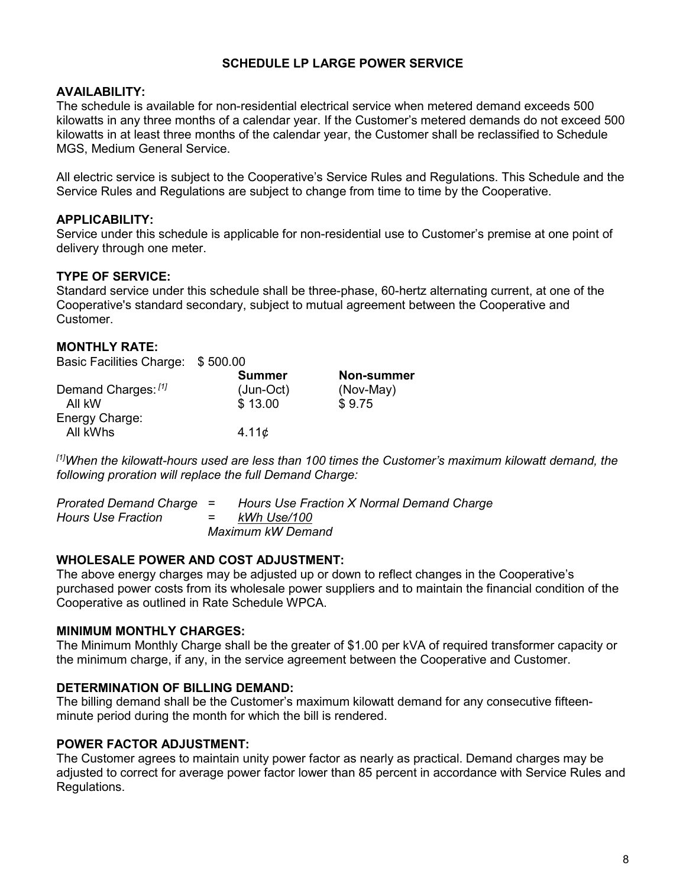## **SCHEDULE LP LARGE POWER SERVICE**

### **AVAILABILITY:**

The schedule is available for non-residential electrical service when metered demand exceeds 500 kilowatts in any three months of a calendar year. If the Customer's metered demands do not exceed 500 kilowatts in at least three months of the calendar year, the Customer shall be reclassified to Schedule MGS, Medium General Service.

All electric service is subject to the Cooperative's Service Rules and Regulations. This Schedule and the Service Rules and Regulations are subject to change from time to time by the Cooperative.

### **APPLICABILITY:**

Service under this schedule is applicable for non-residential use to Customer's premise at one point of delivery through one meter.

## **TYPE OF SERVICE:**

Standard service under this schedule shall be three-phase, 60-hertz alternating current, at one of the Cooperative's standard secondary, subject to mutual agreement between the Cooperative and Customer.

## **MONTHLY RATE:**

| <b>Basic Facilities Charge:</b> | \$500.00 |
|---------------------------------|----------|
|---------------------------------|----------|

|                     | <b>Summer</b> | <b>Non-summer</b> |
|---------------------|---------------|-------------------|
| Demand Charges: [1] | $(Jun-Oct)$   | (Nov-May)         |
| All kW              | \$13.00       | \$9.75            |
| Energy Charge:      |               |                   |
| All kWhs            | $4.11\phi$    |                   |

*[1]When the kilowatt-hours used are less than 100 times the Customer's maximum kilowatt demand, the following proration will replace the full Demand Charge:*

| Prorated Demand Charge = |         | Hours Use Fraction X Normal Demand Charge |
|--------------------------|---------|-------------------------------------------|
| Hours Use Fraction       | $=$ $-$ | kWh Use/100                               |
|                          |         | Maximum kW Demand                         |

#### **WHOLESALE POWER AND COST ADJUSTMENT:**

The above energy charges may be adjusted up or down to reflect changes in the Cooperative's purchased power costs from its wholesale power suppliers and to maintain the financial condition of the Cooperative as outlined in Rate Schedule WPCA.

#### **MINIMUM MONTHLY CHARGES:**

The Minimum Monthly Charge shall be the greater of \$1.00 per kVA of required transformer capacity or the minimum charge, if any, in the service agreement between the Cooperative and Customer.

#### **DETERMINATION OF BILLING DEMAND:**

The billing demand shall be the Customer's maximum kilowatt demand for any consecutive fifteenminute period during the month for which the bill is rendered.

#### **POWER FACTOR ADJUSTMENT:**

The Customer agrees to maintain unity power factor as nearly as practical. Demand charges may be adjusted to correct for average power factor lower than 85 percent in accordance with Service Rules and Regulations.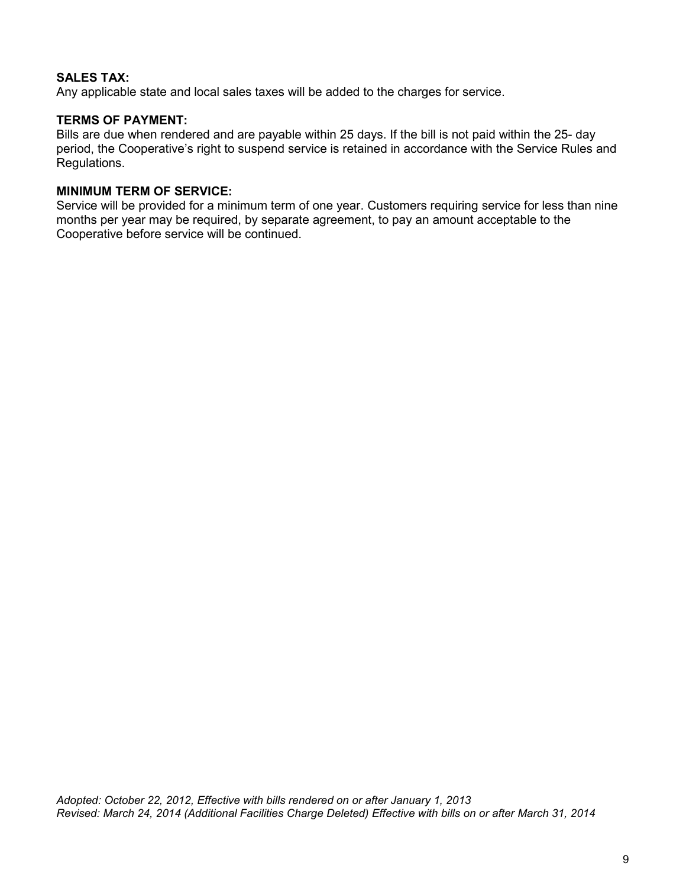## **SALES TAX:**

Any applicable state and local sales taxes will be added to the charges for service.

## **TERMS OF PAYMENT:**

Bills are due when rendered and are payable within 25 days. If the bill is not paid within the 25- day period, the Cooperative's right to suspend service is retained in accordance with the Service Rules and Regulations.

#### **MINIMUM TERM OF SERVICE:**

Service will be provided for a minimum term of one year. Customers requiring service for less than nine months per year may be required, by separate agreement, to pay an amount acceptable to the Cooperative before service will be continued.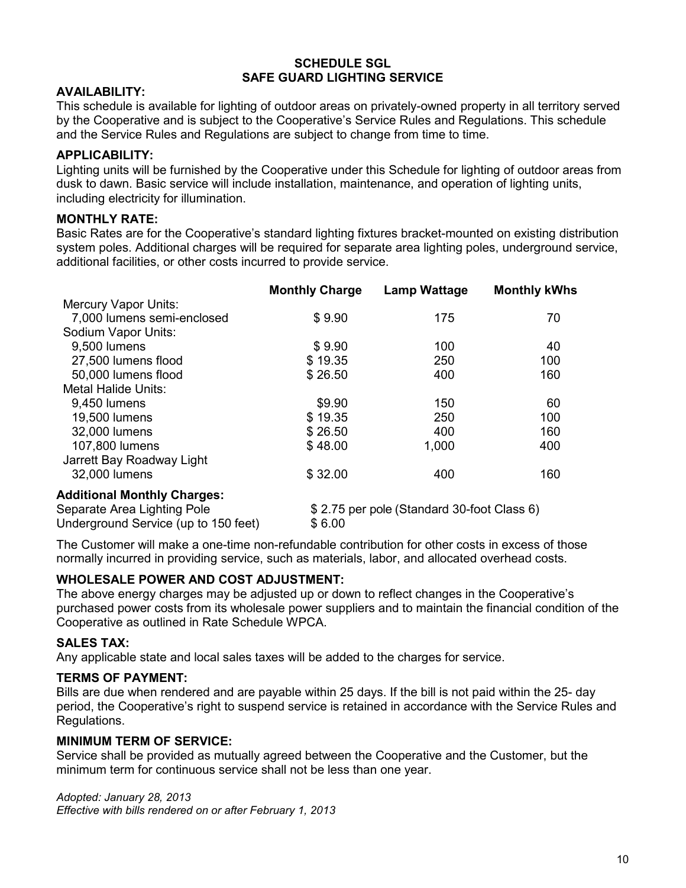#### **SCHEDULE SGL SAFE GUARD LIGHTING SERVICE**

## **AVAILABILITY:**

This schedule is available for lighting of outdoor areas on privately-owned property in all territory served by the Cooperative and is subject to the Cooperative's Service Rules and Regulations. This schedule and the Service Rules and Regulations are subject to change from time to time.

### **APPLICABILITY:**

Lighting units will be furnished by the Cooperative under this Schedule for lighting of outdoor areas from dusk to dawn. Basic service will include installation, maintenance, and operation of lighting units, including electricity for illumination.

### **MONTHLY RATE:**

Basic Rates are for the Cooperative's standard lighting fixtures bracket-mounted on existing distribution system poles. Additional charges will be required for separate area lighting poles, underground service, additional facilities, or other costs incurred to provide service.

|                                      | <b>Monthly Charge</b> | <b>Lamp Wattage</b>                        | <b>Monthly kWhs</b> |
|--------------------------------------|-----------------------|--------------------------------------------|---------------------|
| <b>Mercury Vapor Units:</b>          |                       |                                            |                     |
| 7,000 lumens semi-enclosed           | \$9.90                | 175                                        | 70                  |
| Sodium Vapor Units:                  |                       |                                            |                     |
| 9,500 lumens                         | \$9.90                | 100                                        | 40                  |
| 27,500 lumens flood                  | \$19.35               | 250                                        | 100                 |
| 50,000 lumens flood                  | \$26.50               | 400                                        | 160                 |
| Metal Halide Units:                  |                       |                                            |                     |
| 9,450 lumens                         | \$9.90                | 150                                        | 60                  |
| 19,500 lumens                        | \$19.35               | 250                                        | 100                 |
| 32,000 lumens                        | \$26.50               | 400                                        | 160                 |
| 107,800 lumens                       | \$48.00               | 1,000                                      | 400                 |
| Jarrett Bay Roadway Light            |                       |                                            |                     |
| 32,000 lumens                        | \$32.00               | 400                                        | 160                 |
| <b>Additional Monthly Charges:</b>   |                       |                                            |                     |
| Separate Area Lighting Pole          |                       | \$2.75 per pole (Standard 30-foot Class 6) |                     |
| Underground Service (up to 150 feet) | \$6.00                |                                            |                     |

The Customer will make a one-time non-refundable contribution for other costs in excess of those normally incurred in providing service, such as materials, labor, and allocated overhead costs.

#### **WHOLESALE POWER AND COST ADJUSTMENT:**

The above energy charges may be adjusted up or down to reflect changes in the Cooperative's purchased power costs from its wholesale power suppliers and to maintain the financial condition of the Cooperative as outlined in Rate Schedule WPCA.

#### **SALES TAX:**

Any applicable state and local sales taxes will be added to the charges for service.

#### **TERMS OF PAYMENT:**

Bills are due when rendered and are payable within 25 days. If the bill is not paid within the 25- day period, the Cooperative's right to suspend service is retained in accordance with the Service Rules and Regulations.

#### **MINIMUM TERM OF SERVICE:**

Service shall be provided as mutually agreed between the Cooperative and the Customer, but the minimum term for continuous service shall not be less than one year.

*Adopted: January 28, 2013 Effective with bills rendered on or after February 1, 2013*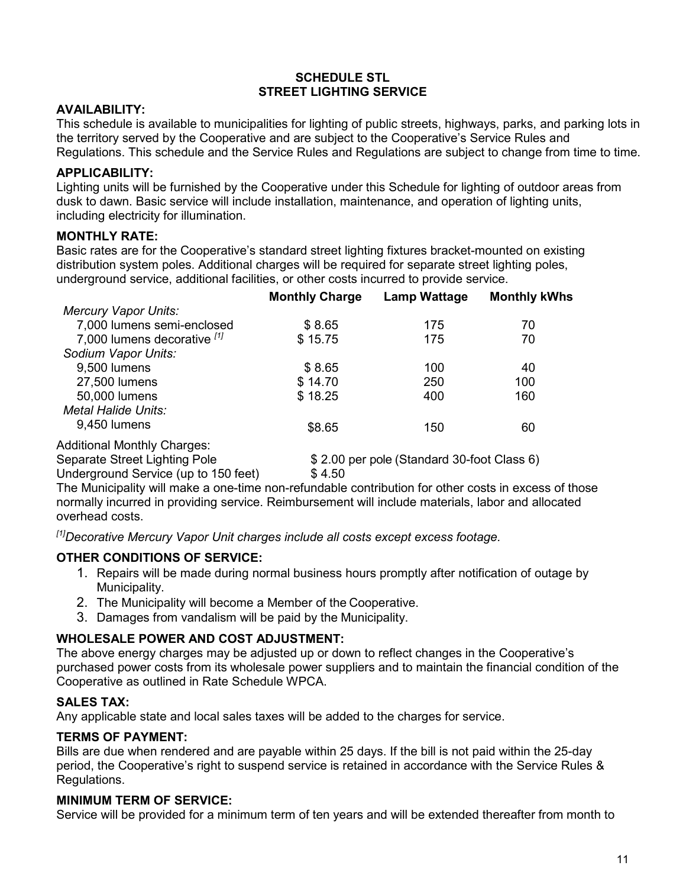### **SCHEDULE STL STREET LIGHTING SERVICE**

### **AVAILABILITY:**

This schedule is available to municipalities for lighting of public streets, highways, parks, and parking lots in the territory served by the Cooperative and are subject to the Cooperative's Service Rules and Regulations. This schedule and the Service Rules and Regulations are subject to change from time to time.

# **APPLICABILITY:**

Lighting units will be furnished by the Cooperative under this Schedule for lighting of outdoor areas from dusk to dawn. Basic service will include installation, maintenance, and operation of lighting units, including electricity for illumination.

# **MONTHLY RATE:**

Basic rates are for the Cooperative's standard street lighting fixtures bracket-mounted on existing distribution system poles. Additional charges will be required for separate street lighting poles, underground service, additional facilities, or other costs incurred to provide service.

|                                    | <b>Monthly Charge</b> | <b>Lamp Wattage</b>                        | <b>Monthly kWhs</b> |
|------------------------------------|-----------------------|--------------------------------------------|---------------------|
| <b>Mercury Vapor Units:</b>        |                       |                                            |                     |
| 7,000 lumens semi-enclosed         | \$8.65                | 175                                        | 70                  |
| 7,000 lumens decorative [1]        | \$15.75               | 175                                        | 70                  |
| Sodium Vapor Units:                |                       |                                            |                     |
| 9,500 lumens                       | \$8.65                | 100                                        | 40                  |
| 27,500 lumens                      | \$14.70               | 250                                        | 100                 |
| 50,000 lumens                      | \$18.25               | 400                                        | 160                 |
| <b>Metal Halide Units:</b>         |                       |                                            |                     |
| 9,450 lumens                       | \$8.65                | 150                                        | 60                  |
| <b>Additional Monthly Charges:</b> |                       |                                            |                     |
| Separate Street Lighting Pole      |                       | \$2.00 per pole (Standard 30-foot Class 6) |                     |
|                                    |                       |                                            |                     |

Underground Service (up to 150 feet) \$4.50 The Municipality will make a one-time non-refundable contribution for other costs in excess of those normally incurred in providing service. Reimbursement will include materials, labor and allocated

*[1]Decorative Mercury Vapor Unit charges include all costs except excess footage.*

# **OTHER CONDITIONS OF SERVICE:**

- 1. Repairs will be made during normal business hours promptly after notification of outage by Municipality.
- 2. The Municipality will become a Member of the Cooperative.
- 3. Damages from vandalism will be paid by the Municipality.

# **WHOLESALE POWER AND COST ADJUSTMENT:**

The above energy charges may be adjusted up or down to reflect changes in the Cooperative's purchased power costs from its wholesale power suppliers and to maintain the financial condition of the Cooperative as outlined in Rate Schedule WPCA.

# **SALES TAX:**

overhead costs.

Any applicable state and local sales taxes will be added to the charges for service.

# **TERMS OF PAYMENT:**

Bills are due when rendered and are payable within 25 days. If the bill is not paid within the 25-day period, the Cooperative's right to suspend service is retained in accordance with the Service Rules & Regulations.

# **MINIMUM TERM OF SERVICE:**

Service will be provided for a minimum term of ten years and will be extended thereafter from month to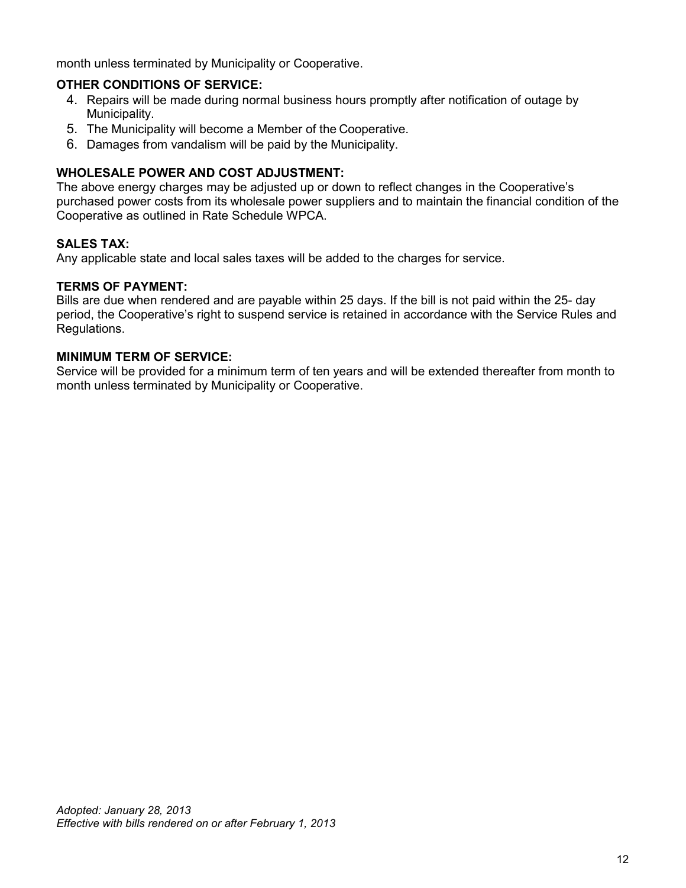month unless terminated by Municipality or Cooperative.

## **OTHER CONDITIONS OF SERVICE:**

- 4. Repairs will be made during normal business hours promptly after notification of outage by Municipality.
- 5. The Municipality will become a Member of the Cooperative.
- 6. Damages from vandalism will be paid by the Municipality.

# **WHOLESALE POWER AND COST ADJUSTMENT:**

The above energy charges may be adjusted up or down to reflect changes in the Cooperative's purchased power costs from its wholesale power suppliers and to maintain the financial condition of the Cooperative as outlined in Rate Schedule WPCA.

## **SALES TAX:**

Any applicable state and local sales taxes will be added to the charges for service.

#### **TERMS OF PAYMENT:**

Bills are due when rendered and are payable within 25 days. If the bill is not paid within the 25- day period, the Cooperative's right to suspend service is retained in accordance with the Service Rules and Regulations.

## **MINIMUM TERM OF SERVICE:**

Service will be provided for a minimum term of ten years and will be extended thereafter from month to month unless terminated by Municipality or Cooperative.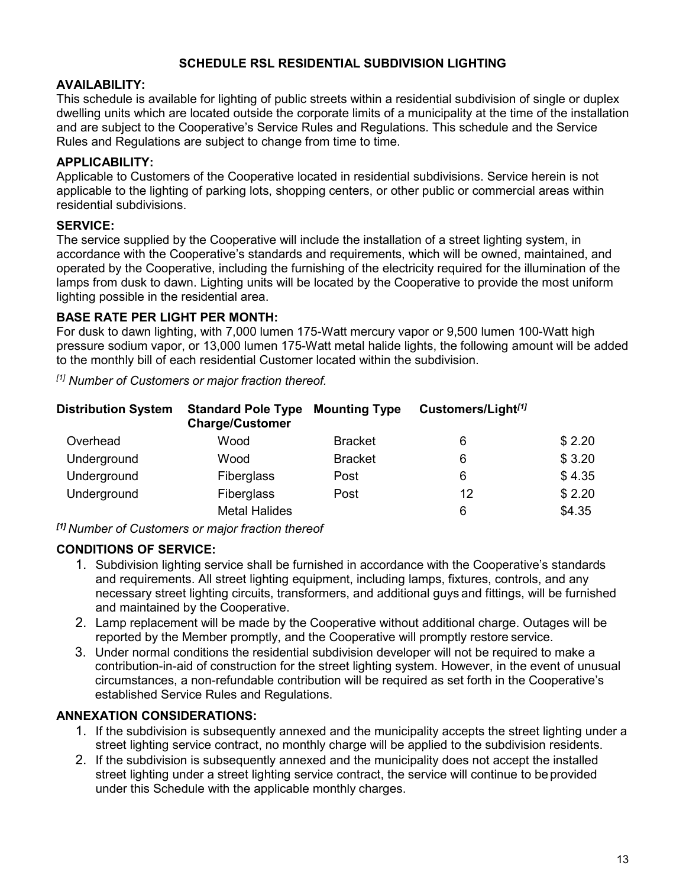## **SCHEDULE RSL RESIDENTIAL SUBDIVISION LIGHTING**

## **AVAILABILITY:**

This schedule is available for lighting of public streets within a residential subdivision of single or duplex dwelling units which are located outside the corporate limits of a municipality at the time of the installation and are subject to the Cooperative's Service Rules and Regulations. This schedule and the Service Rules and Regulations are subject to change from time to time.

## **APPLICABILITY:**

Applicable to Customers of the Cooperative located in residential subdivisions. Service herein is not applicable to the lighting of parking lots, shopping centers, or other public or commercial areas within residential subdivisions.

## **SERVICE:**

The service supplied by the Cooperative will include the installation of a street lighting system, in accordance with the Cooperative's standards and requirements, which will be owned, maintained, and operated by the Cooperative, including the furnishing of the electricity required for the illumination of the lamps from dusk to dawn. Lighting units will be located by the Cooperative to provide the most uniform lighting possible in the residential area.

## **BASE RATE PER LIGHT PER MONTH:**

For dusk to dawn lighting, with 7,000 lumen 175-Watt mercury vapor or 9,500 lumen 100-Watt high pressure sodium vapor, or 13,000 lumen 175-Watt metal halide lights, the following amount will be added to the monthly bill of each residential Customer located within the subdivision.

*[1] Number of Customers or major fraction thereof.*

| <b>Distribution System</b> | <b>Standard Pole Type</b><br><b>Charge/Customer</b> | <b>Mounting Type</b> | Customers/Light <sup>[1]</sup> |        |
|----------------------------|-----------------------------------------------------|----------------------|--------------------------------|--------|
| Overhead                   | Wood                                                | <b>Bracket</b>       | 6                              | \$2.20 |
| Underground                | Wood                                                | <b>Bracket</b>       | 6                              | \$3.20 |
| Underground                | <b>Fiberglass</b>                                   | Post                 | 6                              | \$4.35 |
| Underground                | <b>Fiberglass</b>                                   | Post                 | 12                             | \$2.20 |
|                            | <b>Metal Halides</b>                                |                      | 6                              | \$4.35 |

*[1] Number of Customers or major fraction thereof*

#### **CONDITIONS OF SERVICE:**

- 1. Subdivision lighting service shall be furnished in accordance with the Cooperative's standards and requirements. All street lighting equipment, including lamps, fixtures, controls, and any necessary street lighting circuits, transformers, and additional guys and fittings, will be furnished and maintained by the Cooperative.
- 2. Lamp replacement will be made by the Cooperative without additional charge. Outages will be reported by the Member promptly, and the Cooperative will promptly restore service.
- 3. Under normal conditions the residential subdivision developer will not be required to make a contribution-in-aid of construction for the street lighting system. However, in the event of unusual circumstances, a non-refundable contribution will be required as set forth in the Cooperative's established Service Rules and Regulations.

# **ANNEXATION CONSIDERATIONS:**

- 1. If the subdivision is subsequently annexed and the municipality accepts the street lighting under a street lighting service contract, no monthly charge will be applied to the subdivision residents.
- 2. If the subdivision is subsequently annexed and the municipality does not accept the installed street lighting under a street lighting service contract, the service will continue to beprovided under this Schedule with the applicable monthly charges.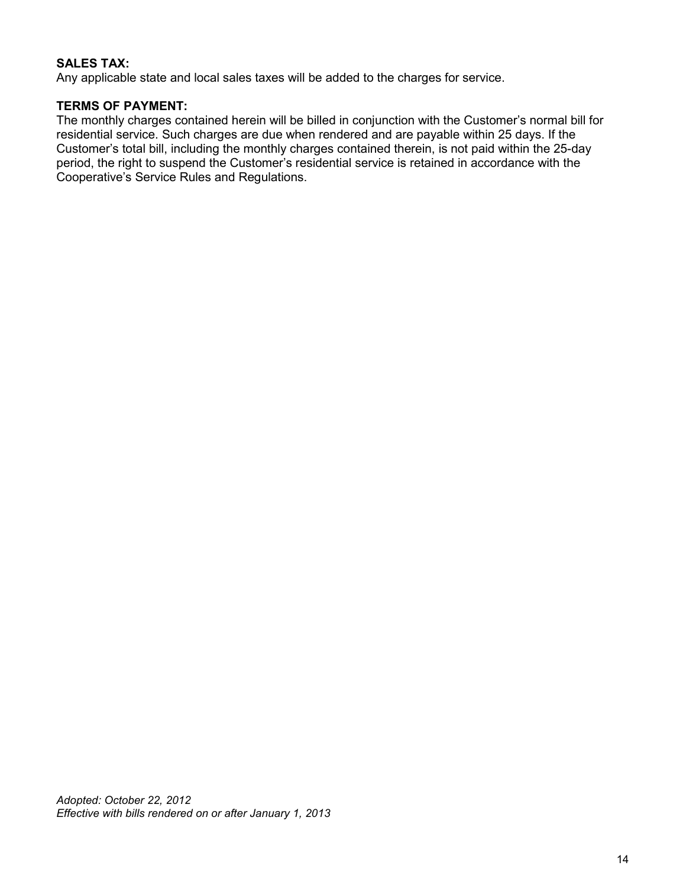## **SALES TAX:**

Any applicable state and local sales taxes will be added to the charges for service.

### **TERMS OF PAYMENT:**

The monthly charges contained herein will be billed in conjunction with the Customer's normal bill for residential service. Such charges are due when rendered and are payable within 25 days. If the Customer's total bill, including the monthly charges contained therein, is not paid within the 25-day period, the right to suspend the Customer's residential service is retained in accordance with the Cooperative's Service Rules and Regulations.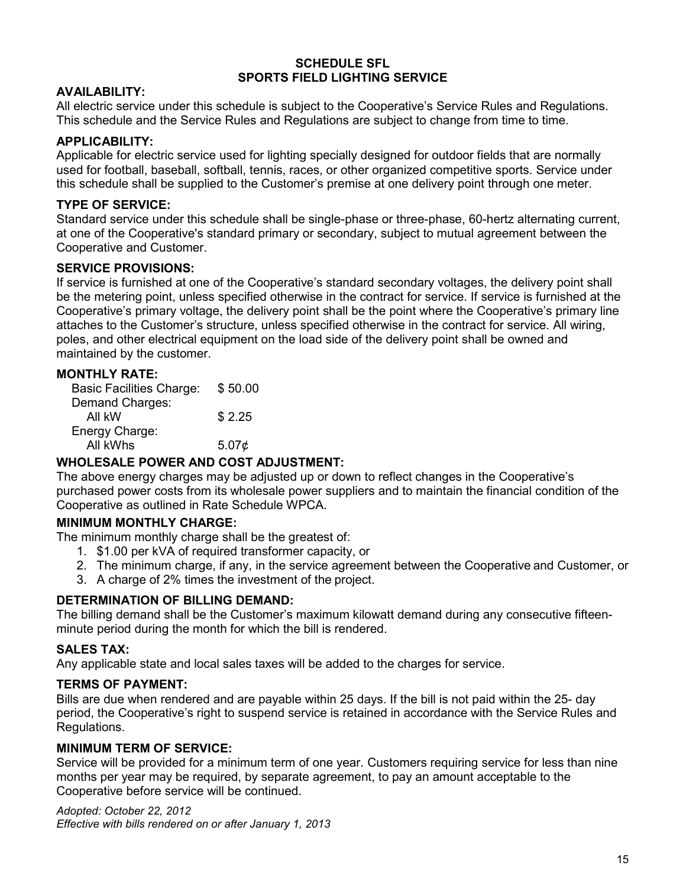#### **SCHEDULE SFL SPORTS FIELD LIGHTING SERVICE**

### **AVAILABILITY:**

All electric service under this schedule is subject to the Cooperative's Service Rules and Regulations. This schedule and the Service Rules and Regulations are subject to change from time to time.

### **APPLICABILITY:**

Applicable for electric service used for lighting specially designed for outdoor fields that are normally used for football, baseball, softball, tennis, races, or other organized competitive sports. Service under this schedule shall be supplied to the Customer's premise at one delivery point through one meter.

## **TYPE OF SERVICE:**

Standard service under this schedule shall be single-phase or three-phase, 60-hertz alternating current, at one of the Cooperative's standard primary or secondary, subject to mutual agreement between the Cooperative and Customer.

#### **SERVICE PROVISIONS:**

If service is furnished at one of the Cooperative's standard secondary voltages, the delivery point shall be the metering point, unless specified otherwise in the contract for service. If service is furnished at the Cooperative's primary voltage, the delivery point shall be the point where the Cooperative's primary line attaches to the Customer's structure, unless specified otherwise in the contract for service. All wiring, poles, and other electrical equipment on the load side of the delivery point shall be owned and maintained by the customer.

#### **MONTHLY RATE:**

Basic Facilities Charge: \$ 50.00 Demand Charges: All kW \$ 2.25 Energy Charge: All kWhs  $5.07¢$ 

#### **WHOLESALE POWER AND COST ADJUSTMENT:**

The above energy charges may be adjusted up or down to reflect changes in the Cooperative's purchased power costs from its wholesale power suppliers and to maintain the financial condition of the Cooperative as outlined in Rate Schedule WPCA.

#### **MINIMUM MONTHLY CHARGE:**

The minimum monthly charge shall be the greatest of:

- 1. \$1.00 per kVA of required transformer capacity, or
- 2. The minimum charge, if any, in the service agreement between the Cooperative and Customer, or
- 3. A charge of 2% times the investment of the project.

#### **DETERMINATION OF BILLING DEMAND:**

The billing demand shall be the Customer's maximum kilowatt demand during any consecutive fifteenminute period during the month for which the bill is rendered.

#### **SALES TAX:**

Any applicable state and local sales taxes will be added to the charges for service.

#### **TERMS OF PAYMENT:**

Bills are due when rendered and are payable within 25 days. If the bill is not paid within the 25- day period, the Cooperative's right to suspend service is retained in accordance with the Service Rules and Regulations.

#### **MINIMUM TERM OF SERVICE:**

Service will be provided for a minimum term of one year. Customers requiring service for less than nine months per year may be required, by separate agreement, to pay an amount acceptable to the Cooperative before service will be continued.

*Adopted: October 22, 2012 Effective with bills rendered on or after January 1, 2013*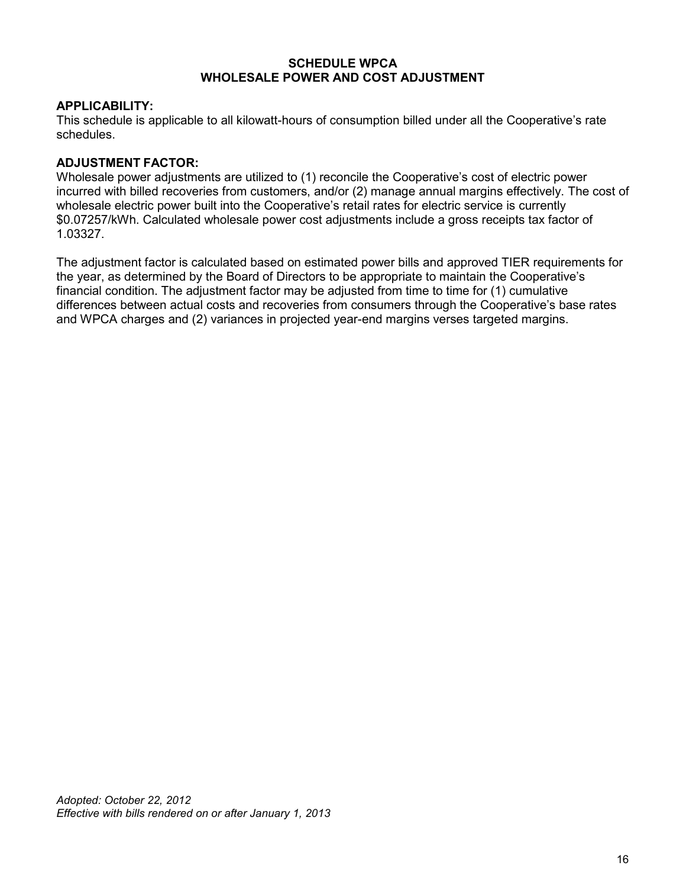#### **SCHEDULE WPCA WHOLESALE POWER AND COST ADJUSTMENT**

#### **APPLICABILITY:**

This schedule is applicable to all kilowatt-hours of consumption billed under all the Cooperative's rate schedules.

#### **ADJUSTMENT FACTOR:**

Wholesale power adjustments are utilized to (1) reconcile the Cooperative's cost of electric power incurred with billed recoveries from customers, and/or (2) manage annual margins effectively. The cost of wholesale electric power built into the Cooperative's retail rates for electric service is currently \$0.07257/kWh. Calculated wholesale power cost adjustments include a gross receipts tax factor of 1.03327.

The adjustment factor is calculated based on estimated power bills and approved TIER requirements for the year, as determined by the Board of Directors to be appropriate to maintain the Cooperative's financial condition. The adjustment factor may be adjusted from time to time for (1) cumulative differences between actual costs and recoveries from consumers through the Cooperative's base rates and WPCA charges and (2) variances in projected year-end margins verses targeted margins.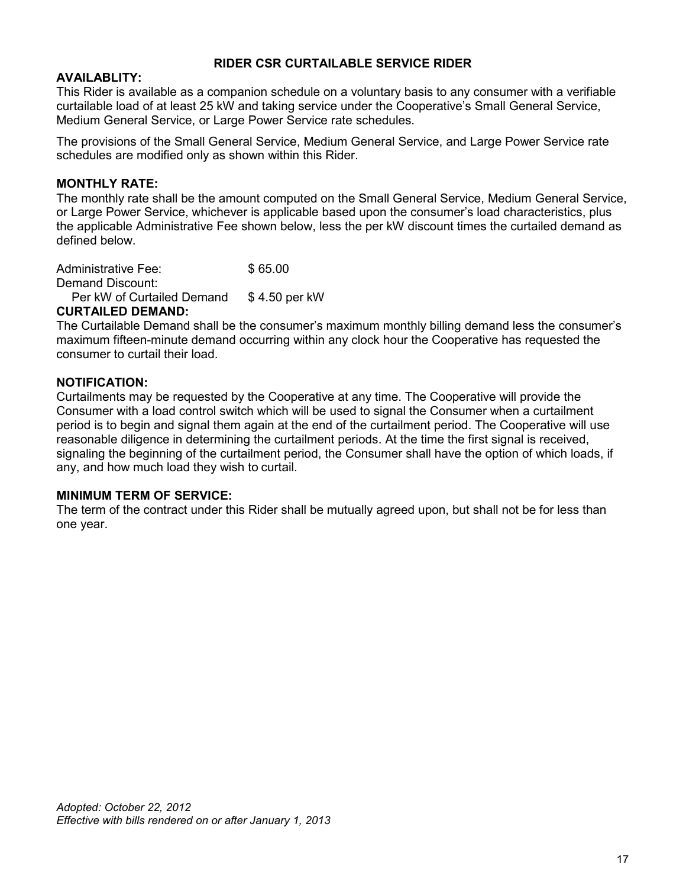### **RIDER CSR CURTAILABLE SERVICE RIDER**

### **AVAILABLITY:**

This Rider is available as a companion schedule on a voluntary basis to any consumer with a verifiable curtailable load of at least 25 kW and taking service under the Cooperative's Small General Service, Medium General Service, or Large Power Service rate schedules.

The provisions of the Small General Service, Medium General Service, and Large Power Service rate schedules are modified only as shown within this Rider.

#### **MONTHLY RATE:**

The monthly rate shall be the amount computed on the Small General Service, Medium General Service, or Large Power Service, whichever is applicable based upon the consumer's load characteristics, plus the applicable Administrative Fee shown below, less the per kW discount times the curtailed demand as defined below.

| <b>Administrative Fee:</b> | \$65.00       |
|----------------------------|---------------|
| Demand Discount:           |               |
| Per kW of Curtailed Demand | \$4.50 per kW |
| CUDTAILED DEMAND.          |               |

#### **CURTAILED DEMAND:**

The Curtailable Demand shall be the consumer's maximum monthly billing demand less the consumer's maximum fifteen-minute demand occurring within any clock hour the Cooperative has requested the consumer to curtail their load.

#### **NOTIFICATION:**

Curtailments may be requested by the Cooperative at any time. The Cooperative will provide the Consumer with a load control switch which will be used to signal the Consumer when a curtailment period is to begin and signal them again at the end of the curtailment period. The Cooperative will use reasonable diligence in determining the curtailment periods. At the time the first signal is received, signaling the beginning of the curtailment period, the Consumer shall have the option of which loads, if any, and how much load they wish to curtail.

#### **MINIMUM TERM OF SERVICE:**

The term of the contract under this Rider shall be mutually agreed upon, but shall not be for less than one year.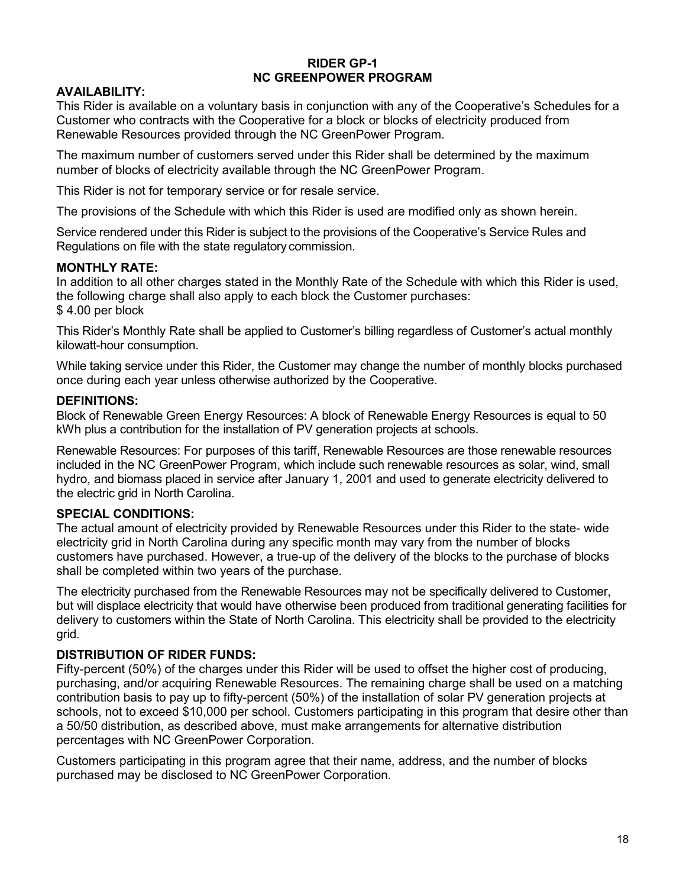#### **RIDER GP-1 NC GREENPOWER PROGRAM**

## **AVAILABILITY:**

This Rider is available on a voluntary basis in conjunction with any of the Cooperative's Schedules for a Customer who contracts with the Cooperative for a block or blocks of electricity produced from Renewable Resources provided through the NC GreenPower Program.

The maximum number of customers served under this Rider shall be determined by the maximum number of blocks of electricity available through the NC GreenPower Program.

This Rider is not for temporary service or for resale service.

The provisions of the Schedule with which this Rider is used are modified only as shown herein.

Service rendered under this Rider is subject to the provisions of the Cooperative's Service Rules and Regulations on file with the state regulatory commission.

#### **MONTHLY RATE:**

In addition to all other charges stated in the Monthly Rate of the Schedule with which this Rider is used, the following charge shall also apply to each block the Customer purchases: \$4.00 per block

This Rider's Monthly Rate shall be applied to Customer's billing regardless of Customer's actual monthly kilowatt-hour consumption.

While taking service under this Rider, the Customer may change the number of monthly blocks purchased once during each year unless otherwise authorized by the Cooperative.

#### **DEFINITIONS:**

Block of Renewable Green Energy Resources: A block of Renewable Energy Resources is equal to 50 kWh plus a contribution for the installation of PV generation projects at schools.

Renewable Resources: For purposes of this tariff, Renewable Resources are those renewable resources included in the NC GreenPower Program, which include such renewable resources as solar, wind, small hydro, and biomass placed in service after January 1, 2001 and used to generate electricity delivered to the electric grid in North Carolina.

#### **SPECIAL CONDITIONS:**

The actual amount of electricity provided by Renewable Resources under this Rider to the state- wide electricity grid in North Carolina during any specific month may vary from the number of blocks customers have purchased. However, a true-up of the delivery of the blocks to the purchase of blocks shall be completed within two years of the purchase.

The electricity purchased from the Renewable Resources may not be specifically delivered to Customer, but will displace electricity that would have otherwise been produced from traditional generating facilities for delivery to customers within the State of North Carolina. This electricity shall be provided to the electricity grid.

#### **DISTRIBUTION OF RIDER FUNDS:**

Fifty-percent (50%) of the charges under this Rider will be used to offset the higher cost of producing, purchasing, and/or acquiring Renewable Resources. The remaining charge shall be used on a matching contribution basis to pay up to fifty-percent (50%) of the installation of solar PV generation projects at schools, not to exceed \$10,000 per school. Customers participating in this program that desire other than a 50/50 distribution, as described above, must make arrangements for alternative distribution percentages with NC GreenPower Corporation.

Customers participating in this program agree that their name, address, and the number of blocks purchased may be disclosed to NC GreenPower Corporation.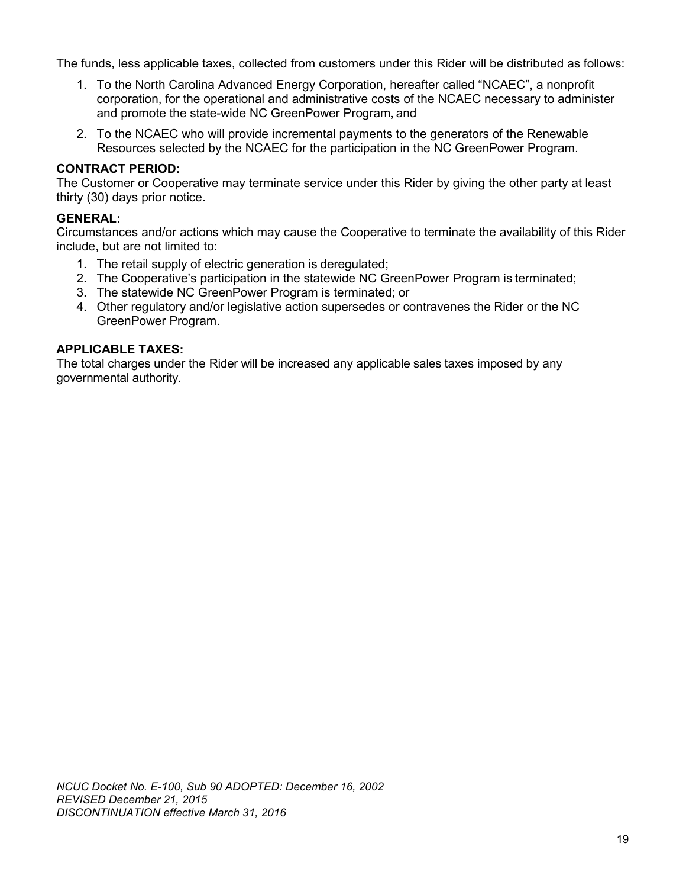The funds, less applicable taxes, collected from customers under this Rider will be distributed as follows:

- 1. To the North Carolina Advanced Energy Corporation, hereafter called "NCAEC", a nonprofit corporation, for the operational and administrative costs of the NCAEC necessary to administer and promote the state-wide NC GreenPower Program, and
- 2. To the NCAEC who will provide incremental payments to the generators of the Renewable Resources selected by the NCAEC for the participation in the NC GreenPower Program.

## **CONTRACT PERIOD:**

The Customer or Cooperative may terminate service under this Rider by giving the other party at least thirty (30) days prior notice.

#### **GENERAL:**

Circumstances and/or actions which may cause the Cooperative to terminate the availability of this Rider include, but are not limited to:

- 1. The retail supply of electric generation is deregulated;
- 2. The Cooperative's participation in the statewide NC GreenPower Program is terminated;
- 3. The statewide NC GreenPower Program is terminated; or
- 4. Other regulatory and/or legislative action supersedes or contravenes the Rider or the NC GreenPower Program.

### **APPLICABLE TAXES:**

The total charges under the Rider will be increased any applicable sales taxes imposed by any governmental authority.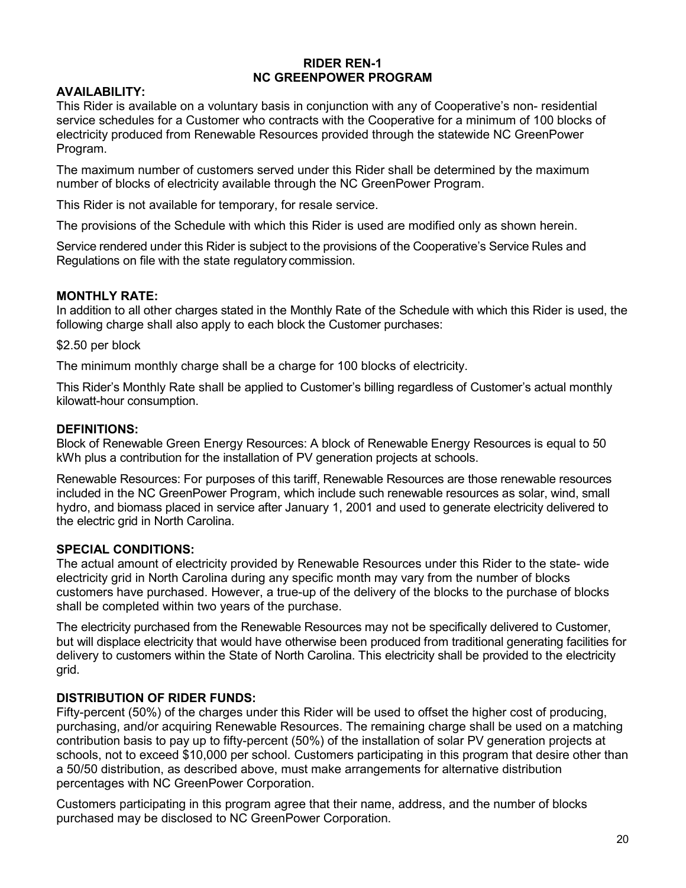#### **RIDER REN-1 NC GREENPOWER PROGRAM**

## **AVAILABILITY:**

This Rider is available on a voluntary basis in conjunction with any of Cooperative's non- residential service schedules for a Customer who contracts with the Cooperative for a minimum of 100 blocks of electricity produced from Renewable Resources provided through the statewide NC GreenPower Program.

The maximum number of customers served under this Rider shall be determined by the maximum number of blocks of electricity available through the NC GreenPower Program.

This Rider is not available for temporary, for resale service.

The provisions of the Schedule with which this Rider is used are modified only as shown herein.

Service rendered under this Rider is subject to the provisions of the Cooperative's Service Rules and Regulations on file with the state regulatory commission.

## **MONTHLY RATE:**

In addition to all other charges stated in the Monthly Rate of the Schedule with which this Rider is used, the following charge shall also apply to each block the Customer purchases:

#### \$2.50 per block

The minimum monthly charge shall be a charge for 100 blocks of electricity.

This Rider's Monthly Rate shall be applied to Customer's billing regardless of Customer's actual monthly kilowatt-hour consumption.

#### **DEFINITIONS:**

Block of Renewable Green Energy Resources: A block of Renewable Energy Resources is equal to 50 kWh plus a contribution for the installation of PV generation projects at schools.

Renewable Resources: For purposes of this tariff, Renewable Resources are those renewable resources included in the NC GreenPower Program, which include such renewable resources as solar, wind, small hydro, and biomass placed in service after January 1, 2001 and used to generate electricity delivered to the electric grid in North Carolina.

#### **SPECIAL CONDITIONS:**

The actual amount of electricity provided by Renewable Resources under this Rider to the state- wide electricity grid in North Carolina during any specific month may vary from the number of blocks customers have purchased. However, a true-up of the delivery of the blocks to the purchase of blocks shall be completed within two years of the purchase.

The electricity purchased from the Renewable Resources may not be specifically delivered to Customer, but will displace electricity that would have otherwise been produced from traditional generating facilities for delivery to customers within the State of North Carolina. This electricity shall be provided to the electricity grid.

#### **DISTRIBUTION OF RIDER FUNDS:**

Fifty-percent (50%) of the charges under this Rider will be used to offset the higher cost of producing, purchasing, and/or acquiring Renewable Resources. The remaining charge shall be used on a matching contribution basis to pay up to fifty-percent (50%) of the installation of solar PV generation projects at schools, not to exceed \$10,000 per school. Customers participating in this program that desire other than a 50/50 distribution, as described above, must make arrangements for alternative distribution percentages with NC GreenPower Corporation.

Customers participating in this program agree that their name, address, and the number of blocks purchased may be disclosed to NC GreenPower Corporation.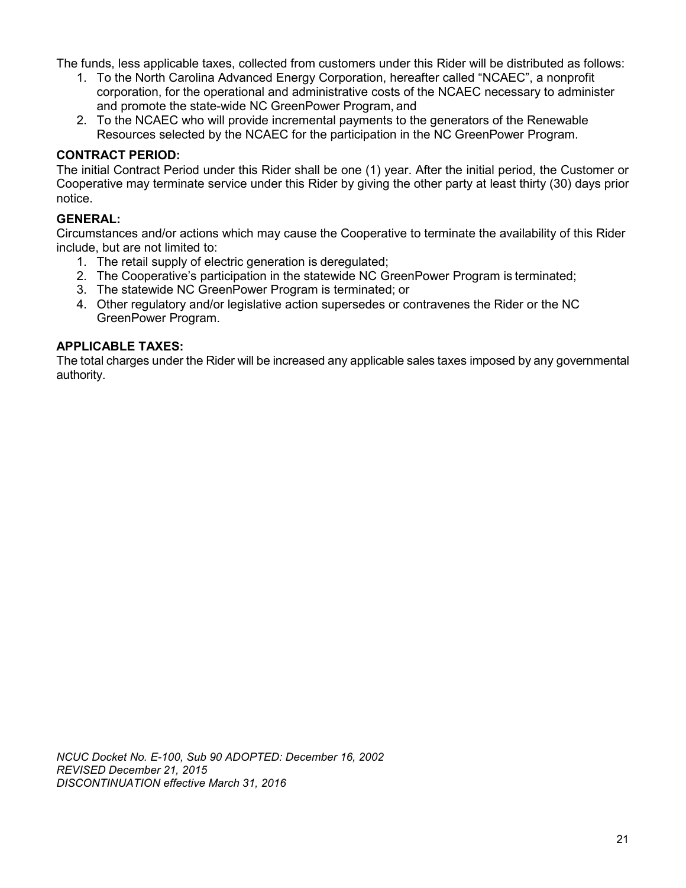The funds, less applicable taxes, collected from customers under this Rider will be distributed as follows:

- 1. To the North Carolina Advanced Energy Corporation, hereafter called "NCAEC", a nonprofit corporation, for the operational and administrative costs of the NCAEC necessary to administer and promote the state-wide NC GreenPower Program, and
- 2. To the NCAEC who will provide incremental payments to the generators of the Renewable Resources selected by the NCAEC for the participation in the NC GreenPower Program.

## **CONTRACT PERIOD:**

The initial Contract Period under this Rider shall be one (1) year. After the initial period, the Customer or Cooperative may terminate service under this Rider by giving the other party at least thirty (30) days prior notice.

## **GENERAL:**

Circumstances and/or actions which may cause the Cooperative to terminate the availability of this Rider include, but are not limited to:

- 1. The retail supply of electric generation is deregulated;
- 2. The Cooperative's participation in the statewide NC GreenPower Program is terminated;
- 3. The statewide NC GreenPower Program is terminated; or
- 4. Other regulatory and/or legislative action supersedes or contravenes the Rider or the NC GreenPower Program.

#### **APPLICABLE TAXES:**

The total charges under the Rider will be increased any applicable sales taxes imposed by any governmental authority.

*NCUC Docket No. E-100, Sub 90 ADOPTED: December 16, 2002 REVISED December 21, 2015 DISCONTINUATION effective March 31, 2016*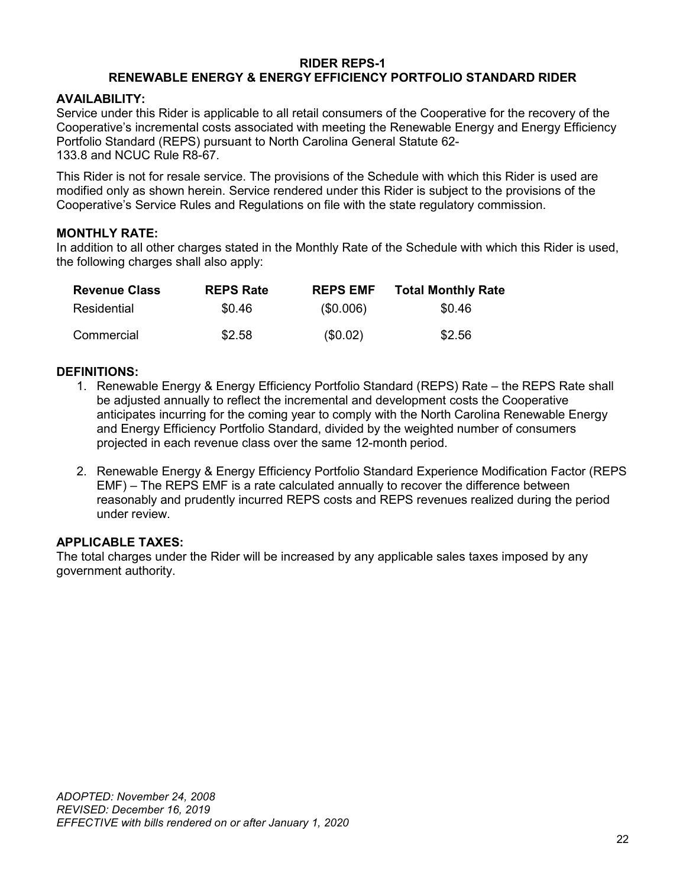#### **RIDER REPS-1 RENEWABLE ENERGY & ENERGY EFFICIENCY PORTFOLIO STANDARD RIDER**

### **AVAILABILITY:**

Service under this Rider is applicable to all retail consumers of the Cooperative for the recovery of the Cooperative's incremental costs associated with meeting the Renewable Energy and Energy Efficiency Portfolio Standard (REPS) pursuant to North Carolina General Statute 62- 133.8 and NCUC Rule R8-67.

This Rider is not for resale service. The provisions of the Schedule with which this Rider is used are modified only as shown herein. Service rendered under this Rider is subject to the provisions of the Cooperative's Service Rules and Regulations on file with the state regulatory commission.

## **MONTHLY RATE:**

In addition to all other charges stated in the Monthly Rate of the Schedule with which this Rider is used, the following charges shall also apply:

| <b>Revenue Class</b> | <b>REPS Rate</b> | <b>REPS EMF</b> | <b>Total Monthly Rate</b> |
|----------------------|------------------|-----------------|---------------------------|
| Residential          | \$0.46           | (\$0.006)       | \$0.46                    |
| Commercial           | \$2.58           | (\$0.02)        | \$2.56                    |

## **DEFINITIONS:**

- 1. Renewable Energy & Energy Efficiency Portfolio Standard (REPS) Rate the REPS Rate shall be adjusted annually to reflect the incremental and development costs the Cooperative anticipates incurring for the coming year to comply with the North Carolina Renewable Energy and Energy Efficiency Portfolio Standard, divided by the weighted number of consumers projected in each revenue class over the same 12-month period.
- 2. Renewable Energy & Energy Efficiency Portfolio Standard Experience Modification Factor (REPS EMF) – The REPS EMF is a rate calculated annually to recover the difference between reasonably and prudently incurred REPS costs and REPS revenues realized during the period under review.

#### **APPLICABLE TAXES:**

The total charges under the Rider will be increased by any applicable sales taxes imposed by any government authority.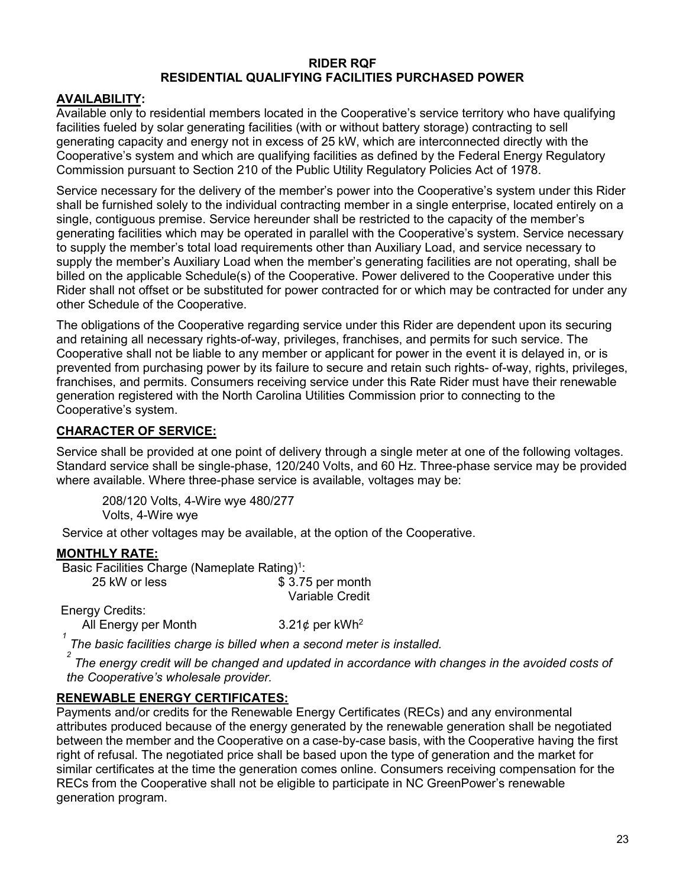#### **RIDER RQF RESIDENTIAL QUALIFYING FACILITIES PURCHASED POWER**

#### **AVAILABILITY:**

Available only to residential members located in the Cooperative's service territory who have qualifying facilities fueled by solar generating facilities (with or without battery storage) contracting to sell generating capacity and energy not in excess of 25 kW, which are interconnected directly with the Cooperative's system and which are qualifying facilities as defined by the Federal Energy Regulatory Commission pursuant to Section 210 of the Public Utility Regulatory Policies Act of 1978.

Service necessary for the delivery of the member's power into the Cooperative's system under this Rider shall be furnished solely to the individual contracting member in a single enterprise, located entirely on a single, contiguous premise. Service hereunder shall be restricted to the capacity of the member's generating facilities which may be operated in parallel with the Cooperative's system. Service necessary to supply the member's total load requirements other than Auxiliary Load, and service necessary to supply the member's Auxiliary Load when the member's generating facilities are not operating, shall be billed on the applicable Schedule(s) of the Cooperative. Power delivered to the Cooperative under this Rider shall not offset or be substituted for power contracted for or which may be contracted for under any other Schedule of the Cooperative.

The obligations of the Cooperative regarding service under this Rider are dependent upon its securing and retaining all necessary rights-of-way, privileges, franchises, and permits for such service. The Cooperative shall not be liable to any member or applicant for power in the event it is delayed in, or is prevented from purchasing power by its failure to secure and retain such rights- of-way, rights, privileges, franchises, and permits. Consumers receiving service under this Rate Rider must have their renewable generation registered with the North Carolina Utilities Commission prior to connecting to the Cooperative's system.

#### **CHARACTER OF SERVICE:**

Service shall be provided at one point of delivery through a single meter at one of the following voltages. Standard service shall be single-phase, 120/240 Volts, and 60 Hz. Three-phase service may be provided where available. Where three-phase service is available, voltages may be:

208/120 Volts, 4-Wire wye 480/277 Volts, 4-Wire wye

Service at other voltages may be available, at the option of the Cooperative.

#### **MONTHLY RATE:**

Basic Facilities Charge (Nameplate Rating)<sup>1</sup>: 25 kW or less \$ 3.75 per month Variable Credit

Energy Credits:

All Energy per Month  $3.21¢$  per kWh<sup>2</sup>

*1 The basic facilities charge is billed when a second meter is installed.*

*2 The energy credit will be changed and updated in accordance with changes in the avoided costs of the Cooperative's wholesale provider.*

#### **RENEWABLE ENERGY CERTIFICATES:**

Payments and/or credits for the Renewable Energy Certificates (RECs) and any environmental attributes produced because of the energy generated by the renewable generation shall be negotiated between the member and the Cooperative on a case-by-case basis, with the Cooperative having the first right of refusal. The negotiated price shall be based upon the type of generation and the market for similar certificates at the time the generation comes online. Consumers receiving compensation for the RECs from the Cooperative shall not be eligible to participate in NC GreenPower's renewable generation program.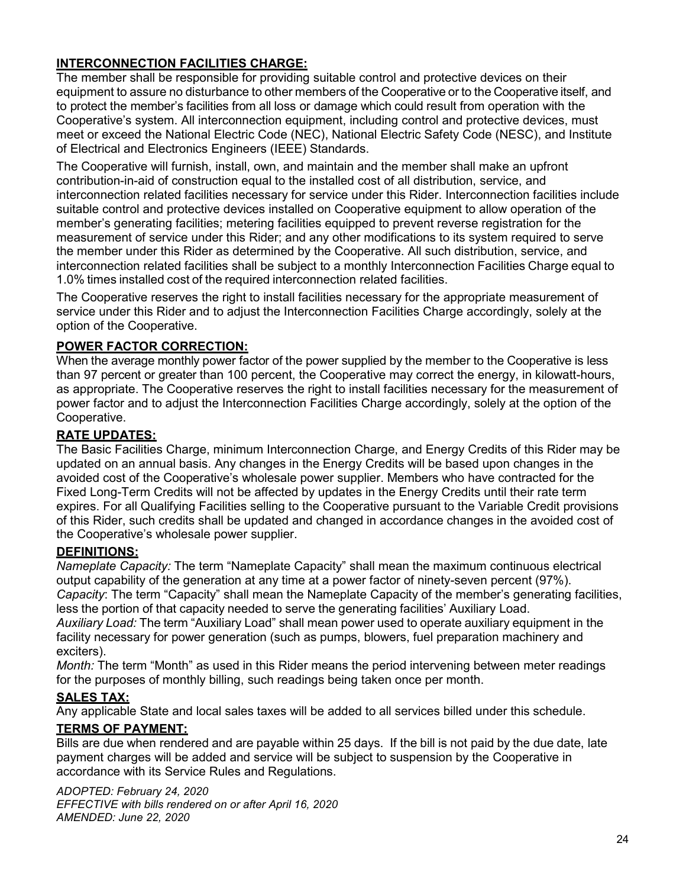# **INTERCONNECTION FACILITIES CHARGE:**

The member shall be responsible for providing suitable control and protective devices on their equipment to assure no disturbance to other members of the Cooperative or to the Cooperative itself, and to protect the member's facilities from all loss or damage which could result from operation with the Cooperative's system. All interconnection equipment, including control and protective devices, must meet or exceed the National Electric Code (NEC), National Electric Safety Code (NESC), and Institute of Electrical and Electronics Engineers (IEEE) Standards.

The Cooperative will furnish, install, own, and maintain and the member shall make an upfront contribution-in-aid of construction equal to the installed cost of all distribution, service, and interconnection related facilities necessary for service under this Rider. Interconnection facilities include suitable control and protective devices installed on Cooperative equipment to allow operation of the member's generating facilities; metering facilities equipped to prevent reverse registration for the measurement of service under this Rider; and any other modifications to its system required to serve the member under this Rider as determined by the Cooperative. All such distribution, service, and interconnection related facilities shall be subject to a monthly Interconnection Facilities Charge equal to 1.0% times installed cost of the required interconnection related facilities.

The Cooperative reserves the right to install facilities necessary for the appropriate measurement of service under this Rider and to adjust the Interconnection Facilities Charge accordingly, solely at the option of the Cooperative.

# **POWER FACTOR CORRECTION:**

When the average monthly power factor of the power supplied by the member to the Cooperative is less than 97 percent or greater than 100 percent, the Cooperative may correct the energy, in kilowatt-hours, as appropriate. The Cooperative reserves the right to install facilities necessary for the measurement of power factor and to adjust the Interconnection Facilities Charge accordingly, solely at the option of the Cooperative.

# **RATE UPDATES:**

The Basic Facilities Charge, minimum Interconnection Charge, and Energy Credits of this Rider may be updated on an annual basis. Any changes in the Energy Credits will be based upon changes in the avoided cost of the Cooperative's wholesale power supplier. Members who have contracted for the Fixed Long-Term Credits will not be affected by updates in the Energy Credits until their rate term expires. For all Qualifying Facilities selling to the Cooperative pursuant to the Variable Credit provisions of this Rider, such credits shall be updated and changed in accordance changes in the avoided cost of the Cooperative's wholesale power supplier.

# **DEFINITIONS:**

*Nameplate Capacity:* The term "Nameplate Capacity" shall mean the maximum continuous electrical output capability of the generation at any time at a power factor of ninety-seven percent (97%). *Capacity*: The term "Capacity" shall mean the Nameplate Capacity of the member's generating facilities, less the portion of that capacity needed to serve the generating facilities' Auxiliary Load.

*Auxiliary Load:* The term "Auxiliary Load" shall mean power used to operate auxiliary equipment in the facility necessary for power generation (such as pumps, blowers, fuel preparation machinery and exciters).

*Month:* The term "Month" as used in this Rider means the period intervening between meter readings for the purposes of monthly billing, such readings being taken once per month.

# **SALES TAX:**

Any applicable State and local sales taxes will be added to all services billed under this schedule.

# **TERMS OF PAYMENT:**

Bills are due when rendered and are payable within 25 days. If the bill is not paid by the due date, late payment charges will be added and service will be subject to suspension by the Cooperative in accordance with its Service Rules and Regulations.

*ADOPTED: February 24, 2020 EFFECTIVE with bills rendered on or after April 16, 2020 AMENDED: June 22, 2020*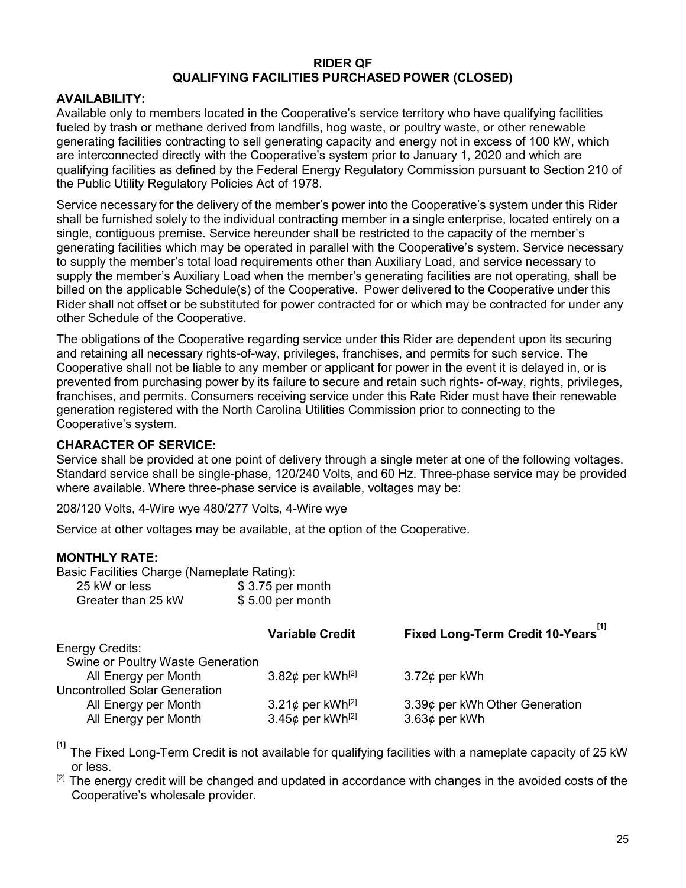#### **RIDER QF QUALIFYING FACILITIES PURCHASED POWER (CLOSED)**

#### **AVAILABILITY:**

Available only to members located in the Cooperative's service territory who have qualifying facilities fueled by trash or methane derived from landfills, hog waste, or poultry waste, or other renewable generating facilities contracting to sell generating capacity and energy not in excess of 100 kW, which are interconnected directly with the Cooperative's system prior to January 1, 2020 and which are qualifying facilities as defined by the Federal Energy Regulatory Commission pursuant to Section 210 of the Public Utility Regulatory Policies Act of 1978.

Service necessary for the delivery of the member's power into the Cooperative's system under this Rider shall be furnished solely to the individual contracting member in a single enterprise, located entirely on a single, contiguous premise. Service hereunder shall be restricted to the capacity of the member's generating facilities which may be operated in parallel with the Cooperative's system. Service necessary to supply the member's total load requirements other than Auxiliary Load, and service necessary to supply the member's Auxiliary Load when the member's generating facilities are not operating, shall be billed on the applicable Schedule(s) of the Cooperative. Power delivered to the Cooperative under this Rider shall not offset or be substituted for power contracted for or which may be contracted for under any other Schedule of the Cooperative.

The obligations of the Cooperative regarding service under this Rider are dependent upon its securing and retaining all necessary rights-of-way, privileges, franchises, and permits for such service. The Cooperative shall not be liable to any member or applicant for power in the event it is delayed in, or is prevented from purchasing power by its failure to secure and retain such rights- of-way, rights, privileges, franchises, and permits. Consumers receiving service under this Rate Rider must have their renewable generation registered with the North Carolina Utilities Commission prior to connecting to the Cooperative's system.

#### **CHARACTER OF SERVICE:**

Service shall be provided at one point of delivery through a single meter at one of the following voltages. Standard service shall be single-phase, 120/240 Volts, and 60 Hz. Three-phase service may be provided where available. Where three-phase service is available, voltages may be:

208/120 Volts, 4-Wire wye 480/277 Volts, 4-Wire wye

Service at other voltages may be available, at the option of the Cooperative.

#### **MONTHLY RATE:**

| Basic Facilities Charge (Nameplate Rating): |                   |
|---------------------------------------------|-------------------|
| 25 kW or less                               | $$3.75$ per month |
| Greater than 25 kW                          | $$5.00$ per month |

|                                      | <b>Variable Credit</b>             | Fixed Long-Term Credit 10-Years |
|--------------------------------------|------------------------------------|---------------------------------|
| <b>Energy Credits:</b>               |                                    |                                 |
| Swine or Poultry Waste Generation    |                                    |                                 |
| All Energy per Month                 | 3.82 $\phi$ per kWh <sup>[2]</sup> | $3.72\phi$ per kWh              |
| <b>Uncontrolled Solar Generation</b> |                                    |                                 |
| All Energy per Month                 | 3.21¢ per kWh <sup>[2]</sup>       | 3.39¢ per kWh Other Generation  |
| All Energy per Month                 | 3.45 $¢$ per kWh <sup>[2]</sup>    | 3.63¢ per kWh                   |
|                                      |                                    |                                 |

**[1]**  The Fixed Long-Term Credit is not available for qualifying facilities with a nameplate capacity of 25 kW or less.

 $[2]$  The energy credit will be changed and updated in accordance with changes in the avoided costs of the Cooperative's wholesale provider.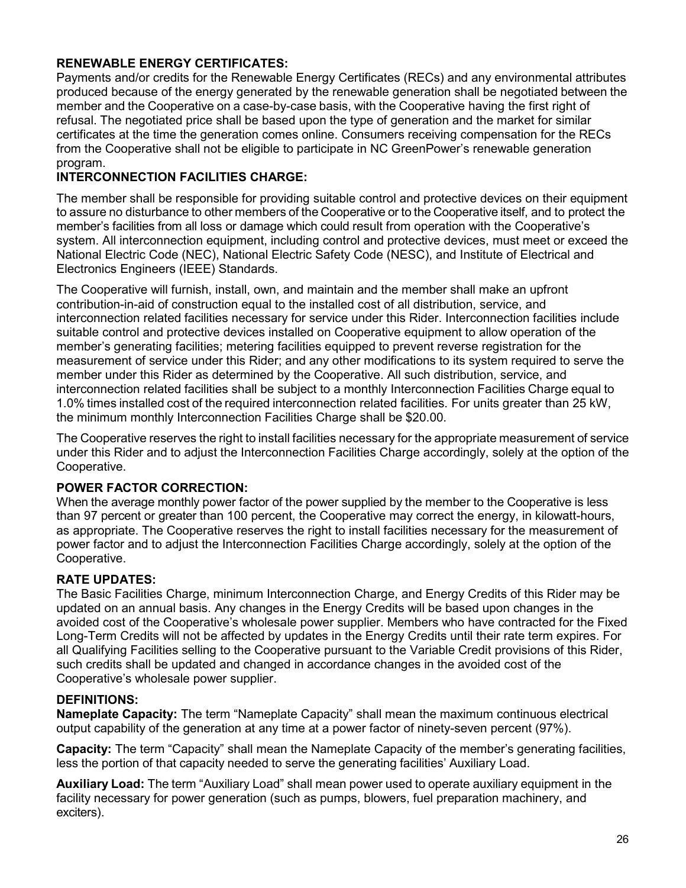# **RENEWABLE ENERGY CERTIFICATES:**

Payments and/or credits for the Renewable Energy Certificates (RECs) and any environmental attributes produced because of the energy generated by the renewable generation shall be negotiated between the member and the Cooperative on a case-by-case basis, with the Cooperative having the first right of refusal. The negotiated price shall be based upon the type of generation and the market for similar certificates at the time the generation comes online. Consumers receiving compensation for the RECs from the Cooperative shall not be eligible to participate in NC GreenPower's renewable generation program.

## **INTERCONNECTION FACILITIES CHARGE:**

The member shall be responsible for providing suitable control and protective devices on their equipment to assure no disturbance to other members of the Cooperative or to the Cooperative itself, and to protect the member's facilities from all loss or damage which could result from operation with the Cooperative's system. All interconnection equipment, including control and protective devices, must meet or exceed the National Electric Code (NEC), National Electric Safety Code (NESC), and Institute of Electrical and Electronics Engineers (IEEE) Standards.

The Cooperative will furnish, install, own, and maintain and the member shall make an upfront contribution-in-aid of construction equal to the installed cost of all distribution, service, and interconnection related facilities necessary for service under this Rider. Interconnection facilities include suitable control and protective devices installed on Cooperative equipment to allow operation of the member's generating facilities; metering facilities equipped to prevent reverse registration for the measurement of service under this Rider; and any other modifications to its system required to serve the member under this Rider as determined by the Cooperative. All such distribution, service, and interconnection related facilities shall be subject to a monthly Interconnection Facilities Charge equal to 1.0% times installed cost of the required interconnection related facilities. For units greater than 25 kW, the minimum monthly Interconnection Facilities Charge shall be \$20.00.

The Cooperative reserves the right to install facilities necessary for the appropriate measurement of service under this Rider and to adjust the Interconnection Facilities Charge accordingly, solely at the option of the Cooperative.

#### **POWER FACTOR CORRECTION:**

When the average monthly power factor of the power supplied by the member to the Cooperative is less than 97 percent or greater than 100 percent, the Cooperative may correct the energy, in kilowatt-hours, as appropriate. The Cooperative reserves the right to install facilities necessary for the measurement of power factor and to adjust the Interconnection Facilities Charge accordingly, solely at the option of the Cooperative.

#### **RATE UPDATES:**

The Basic Facilities Charge, minimum Interconnection Charge, and Energy Credits of this Rider may be updated on an annual basis. Any changes in the Energy Credits will be based upon changes in the avoided cost of the Cooperative's wholesale power supplier. Members who have contracted for the Fixed Long-Term Credits will not be affected by updates in the Energy Credits until their rate term expires. For all Qualifying Facilities selling to the Cooperative pursuant to the Variable Credit provisions of this Rider, such credits shall be updated and changed in accordance changes in the avoided cost of the Cooperative's wholesale power supplier.

#### **DEFINITIONS:**

**Nameplate Capacity:** The term "Nameplate Capacity" shall mean the maximum continuous electrical output capability of the generation at any time at a power factor of ninety-seven percent (97%).

**Capacity:** The term "Capacity" shall mean the Nameplate Capacity of the member's generating facilities, less the portion of that capacity needed to serve the generating facilities' Auxiliary Load.

**Auxiliary Load:** The term "Auxiliary Load" shall mean power used to operate auxiliary equipment in the facility necessary for power generation (such as pumps, blowers, fuel preparation machinery, and exciters).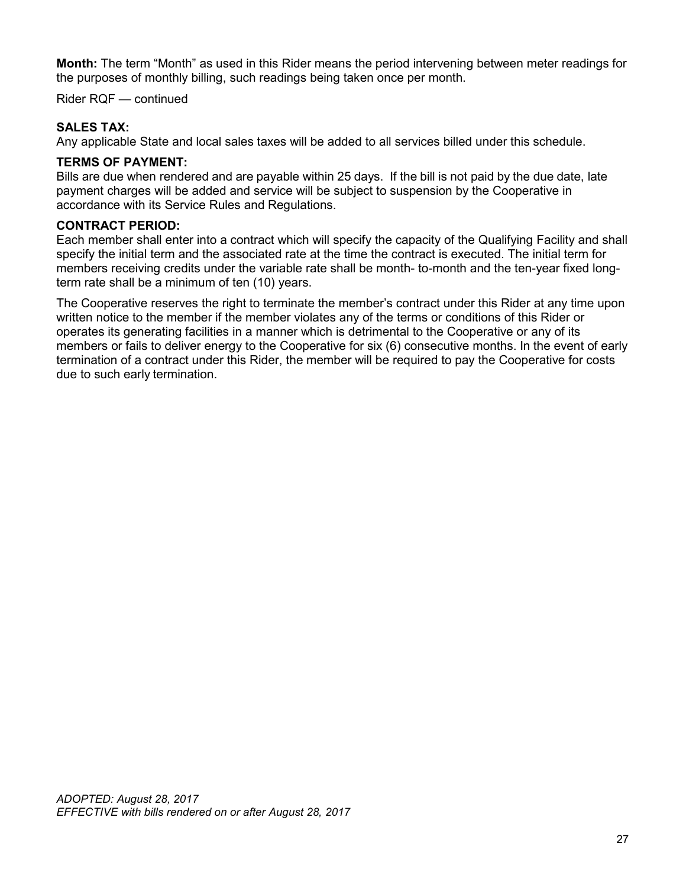**Month:** The term "Month" as used in this Rider means the period intervening between meter readings for the purposes of monthly billing, such readings being taken once per month.

Rider RQF — continued

## **SALES TAX:**

Any applicable State and local sales taxes will be added to all services billed under this schedule.

#### **TERMS OF PAYMENT:**

Bills are due when rendered and are payable within 25 days. If the bill is not paid by the due date, late payment charges will be added and service will be subject to suspension by the Cooperative in accordance with its Service Rules and Regulations.

#### **CONTRACT PERIOD:**

Each member shall enter into a contract which will specify the capacity of the Qualifying Facility and shall specify the initial term and the associated rate at the time the contract is executed. The initial term for members receiving credits under the variable rate shall be month- to-month and the ten-year fixed longterm rate shall be a minimum of ten (10) years.

The Cooperative reserves the right to terminate the member's contract under this Rider at any time upon written notice to the member if the member violates any of the terms or conditions of this Rider or operates its generating facilities in a manner which is detrimental to the Cooperative or any of its members or fails to deliver energy to the Cooperative for six (6) consecutive months. In the event of early termination of a contract under this Rider, the member will be required to pay the Cooperative for costs due to such early termination.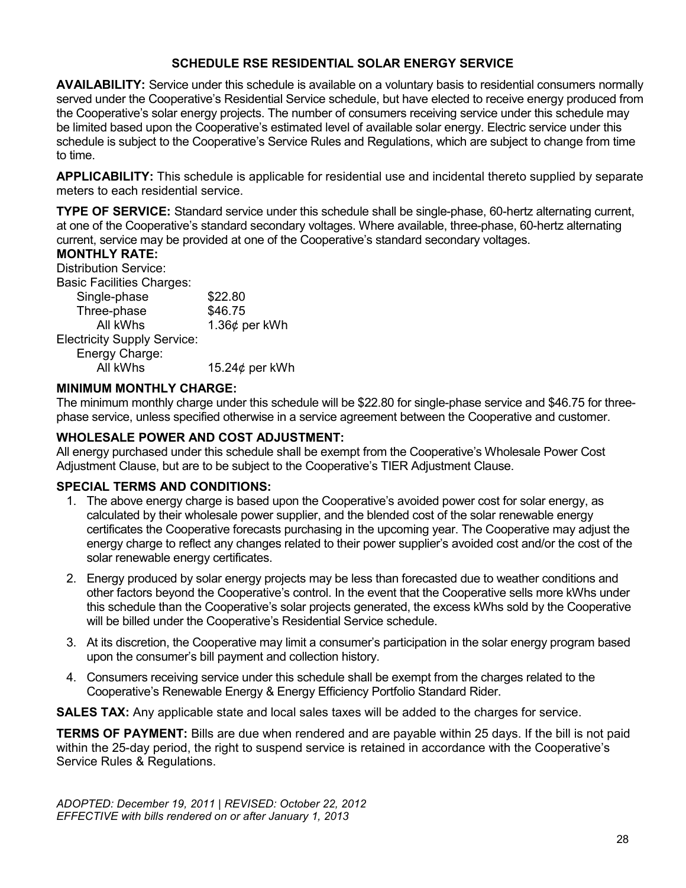## **SCHEDULE RSE RESIDENTIAL SOLAR ENERGY SERVICE**

**AVAILABILITY:** Service under this schedule is available on a voluntary basis to residential consumers normally served under the Cooperative's Residential Service schedule, but have elected to receive energy produced from the Cooperative's solar energy projects. The number of consumers receiving service under this schedule may be limited based upon the Cooperative's estimated level of available solar energy. Electric service under this schedule is subject to the Cooperative's Service Rules and Regulations, which are subject to change from time to time.

**APPLICABILITY:** This schedule is applicable for residential use and incidental thereto supplied by separate meters to each residential service.

**TYPE OF SERVICE:** Standard service under this schedule shall be single-phase, 60-hertz alternating current, at one of the Cooperative's standard secondary voltages. Where available, three-phase, 60-hertz alternating current, service may be provided at one of the Cooperative's standard secondary voltages.

#### **MONTHLY RATE:**

Distribution Service:

Basic Facilities Charges:

| \$22.80              |
|----------------------|
| \$46.75              |
| 1.36 $¢$ per kWh     |
|                      |
|                      |
| 15.24 $\phi$ per kWh |
|                      |

#### **MINIMUM MONTHLY CHARGE:**

The minimum monthly charge under this schedule will be \$22.80 for single-phase service and \$46.75 for threephase service, unless specified otherwise in a service agreement between the Cooperative and customer.

# **WHOLESALE POWER AND COST ADJUSTMENT:**

All energy purchased under this schedule shall be exempt from the Cooperative's Wholesale Power Cost Adjustment Clause, but are to be subject to the Cooperative's TIER Adjustment Clause.

#### **SPECIAL TERMS AND CONDITIONS:**

- 1. The above energy charge is based upon the Cooperative's avoided power cost for solar energy, as calculated by their wholesale power supplier, and the blended cost of the solar renewable energy certificates the Cooperative forecasts purchasing in the upcoming year. The Cooperative may adjust the energy charge to reflect any changes related to their power supplier's avoided cost and/or the cost of the solar renewable energy certificates.
- 2. Energy produced by solar energy projects may be less than forecasted due to weather conditions and other factors beyond the Cooperative's control. In the event that the Cooperative sells more kWhs under this schedule than the Cooperative's solar projects generated, the excess kWhs sold by the Cooperative will be billed under the Cooperative's Residential Service schedule.
- 3. At its discretion, the Cooperative may limit a consumer's participation in the solar energy program based upon the consumer's bill payment and collection history.
- 4. Consumers receiving service under this schedule shall be exempt from the charges related to the Cooperative's Renewable Energy & Energy Efficiency Portfolio Standard Rider.

**SALES TAX:** Any applicable state and local sales taxes will be added to the charges for service.

**TERMS OF PAYMENT:** Bills are due when rendered and are payable within 25 days. If the bill is not paid within the 25-day period, the right to suspend service is retained in accordance with the Cooperative's Service Rules & Regulations.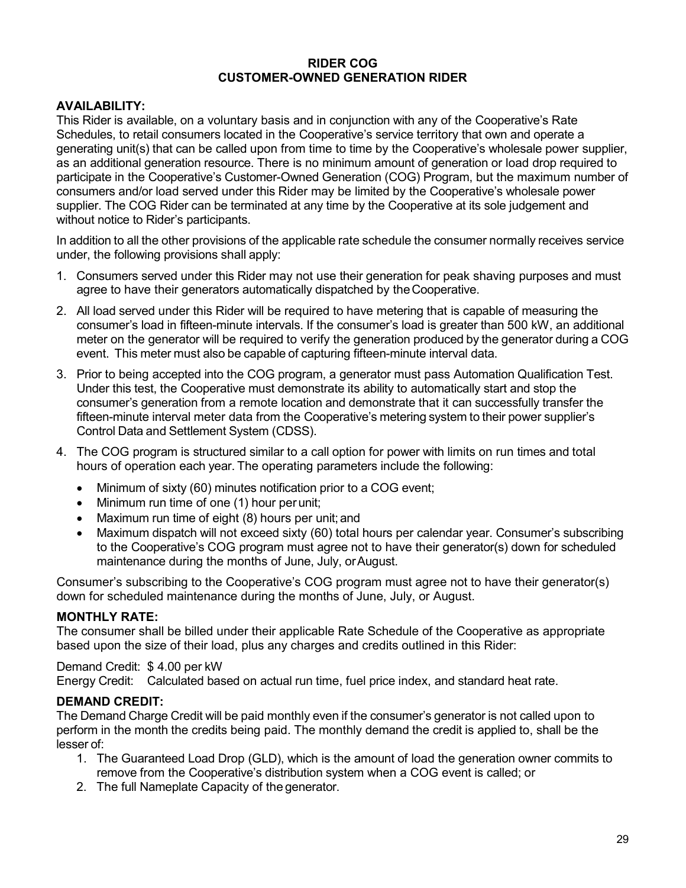#### **RIDER COG CUSTOMER-OWNED GENERATION RIDER**

#### **AVAILABILITY:**

This Rider is available, on a voluntary basis and in conjunction with any of the Cooperative's Rate Schedules, to retail consumers located in the Cooperative's service territory that own and operate a generating unit(s) that can be called upon from time to time by the Cooperative's wholesale power supplier, as an additional generation resource. There is no minimum amount of generation or load drop required to participate in the Cooperative's Customer-Owned Generation (COG) Program, but the maximum number of consumers and/or load served under this Rider may be limited by the Cooperative's wholesale power supplier. The COG Rider can be terminated at any time by the Cooperative at its sole judgement and without notice to Rider's participants.

In addition to all the other provisions of the applicable rate schedule the consumer normally receives service under, the following provisions shall apply:

- 1. Consumers served under this Rider may not use their generation for peak shaving purposes and must agree to have their generators automatically dispatched by theCooperative.
- 2. All load served under this Rider will be required to have metering that is capable of measuring the consumer's load in fifteen-minute intervals. If the consumer's load is greater than 500 kW, an additional meter on the generator will be required to verify the generation produced by the generator during a COG event. This meter must also be capable of capturing fifteen-minute interval data.
- 3. Prior to being accepted into the COG program, a generator must pass Automation Qualification Test. Under this test, the Cooperative must demonstrate its ability to automatically start and stop the consumer's generation from a remote location and demonstrate that it can successfully transfer the fifteen-minute interval meter data from the Cooperative's metering system to their power supplier's Control Data and Settlement System (CDSS).
- 4. The COG program is structured similar to a call option for power with limits on run times and total hours of operation each year. The operating parameters include the following:
	- Minimum of sixty (60) minutes notification prior to a COG event;
	- Minimum run time of one (1) hour per unit;
	- Maximum run time of eight (8) hours per unit; and
	- Maximum dispatch will not exceed sixty (60) total hours per calendar year. Consumer's subscribing to the Cooperative's COG program must agree not to have their generator(s) down for scheduled maintenance during the months of June, July, orAugust.

Consumer's subscribing to the Cooperative's COG program must agree not to have their generator(s) down for scheduled maintenance during the months of June, July, or August.

#### **MONTHLY RATE:**

The consumer shall be billed under their applicable Rate Schedule of the Cooperative as appropriate based upon the size of their load, plus any charges and credits outlined in this Rider:

#### Demand Credit: \$ 4.00 per kW

Energy Credit: Calculated based on actual run time, fuel price index, and standard heat rate.

#### **DEMAND CREDIT:**

The Demand Charge Credit will be paid monthly even if the consumer's generator is not called upon to perform in the month the credits being paid. The monthly demand the credit is applied to, shall be the lesser of:

- 1. The Guaranteed Load Drop (GLD), which is the amount of load the generation owner commits to remove from the Cooperative's distribution system when a COG event is called; or
- 2. The full Nameplate Capacity of the generator.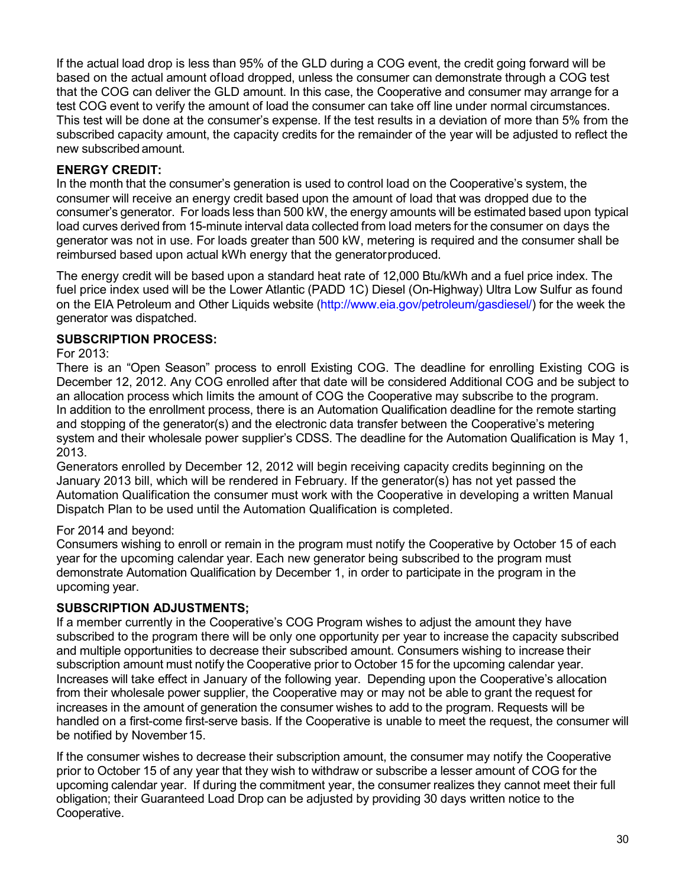If the actual load drop is less than 95% of the GLD during a COG event, the credit going forward will be based on the actual amount ofload dropped, unless the consumer can demonstrate through a COG test that the COG can deliver the GLD amount. In this case, the Cooperative and consumer may arrange for a test COG event to verify the amount of load the consumer can take off line under normal circumstances. This test will be done at the consumer's expense. If the test results in a deviation of more than 5% from the subscribed capacity amount, the capacity credits for the remainder of the year will be adjusted to reflect the new subscribed amount.

# **ENERGY CREDIT:**

In the month that the consumer's generation is used to control load on the Cooperative's system, the consumer will receive an energy credit based upon the amount of load that was dropped due to the consumer's generator. For loads less than 500 kW, the energy amounts will be estimated based upon typical load curves derived from 15-minute interval data collected from load meters for the consumer on days the generator was not in use. For loads greater than 500 kW, metering is required and the consumer shall be reimbursed based upon actual kWh energy that the generatorproduced.

The energy credit will be based upon a standard heat rate of 12,000 Btu/kWh and a fuel price index. The fuel price index used will be the Lower Atlantic (PADD 1C) Diesel (On-Highway) Ultra Low Sulfur as found on the EIA Petroleum and Other Liquids website [\(http://www.eia.gov/petroleum/gasdiesel/\) f](http://www.eia.gov/petroleum/gasdiesel/))or the week the generator was dispatched.

# **SUBSCRIPTION PROCESS:**

For 2013:

There is an "Open Season" process to enroll Existing COG. The deadline for enrolling Existing COG is December 12, 2012. Any COG enrolled after that date will be considered Additional COG and be subject to an allocation process which limits the amount of COG the Cooperative may subscribe to the program. In addition to the enrollment process, there is an Automation Qualification deadline for the remote starting and stopping of the generator(s) and the electronic data transfer between the Cooperative's metering system and their wholesale power supplier's CDSS. The deadline for the Automation Qualification is May 1, 2013.

Generators enrolled by December 12, 2012 will begin receiving capacity credits beginning on the January 2013 bill, which will be rendered in February. If the generator(s) has not yet passed the Automation Qualification the consumer must work with the Cooperative in developing a written Manual Dispatch Plan to be used until the Automation Qualification is completed.

# For 2014 and beyond:

Consumers wishing to enroll or remain in the program must notify the Cooperative by October 15 of each year for the upcoming calendar year. Each new generator being subscribed to the program must demonstrate Automation Qualification by December 1, in order to participate in the program in the upcoming year.

# **SUBSCRIPTION ADJUSTMENTS;**

If a member currently in the Cooperative's COG Program wishes to adjust the amount they have subscribed to the program there will be only one opportunity per year to increase the capacity subscribed and multiple opportunities to decrease their subscribed amount. Consumers wishing to increase their subscription amount must notify the Cooperative prior to October 15 for the upcoming calendar year. Increases will take effect in January of the following year. Depending upon the Cooperative's allocation from their wholesale power supplier, the Cooperative may or may not be able to grant the request for increases in the amount of generation the consumer wishes to add to the program. Requests will be handled on a first-come first-serve basis. If the Cooperative is unable to meet the request, the consumer will be notified by November15.

If the consumer wishes to decrease their subscription amount, the consumer may notify the Cooperative prior to October 15 of any year that they wish to withdraw or subscribe a lesser amount of COG for the upcoming calendar year. If during the commitment year, the consumer realizes they cannot meet their full obligation; their Guaranteed Load Drop can be adjusted by providing 30 days written notice to the Cooperative.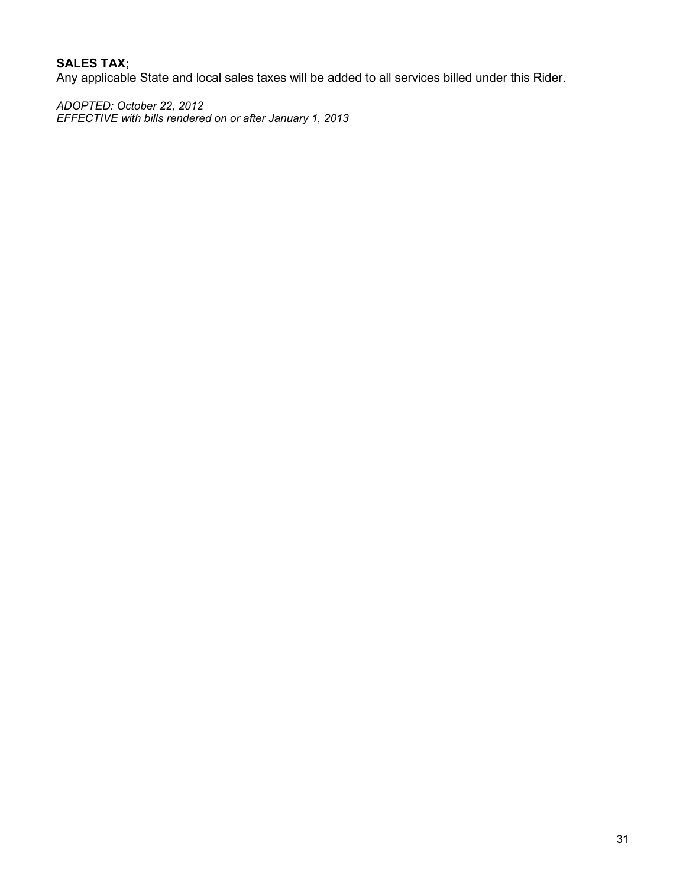# **SALES TAX;**

Any applicable State and local sales taxes will be added to all services billed under this Rider.

*ADOPTED: October 22, 2012 EFFECTIVE with bills rendered on or after January 1, 2013*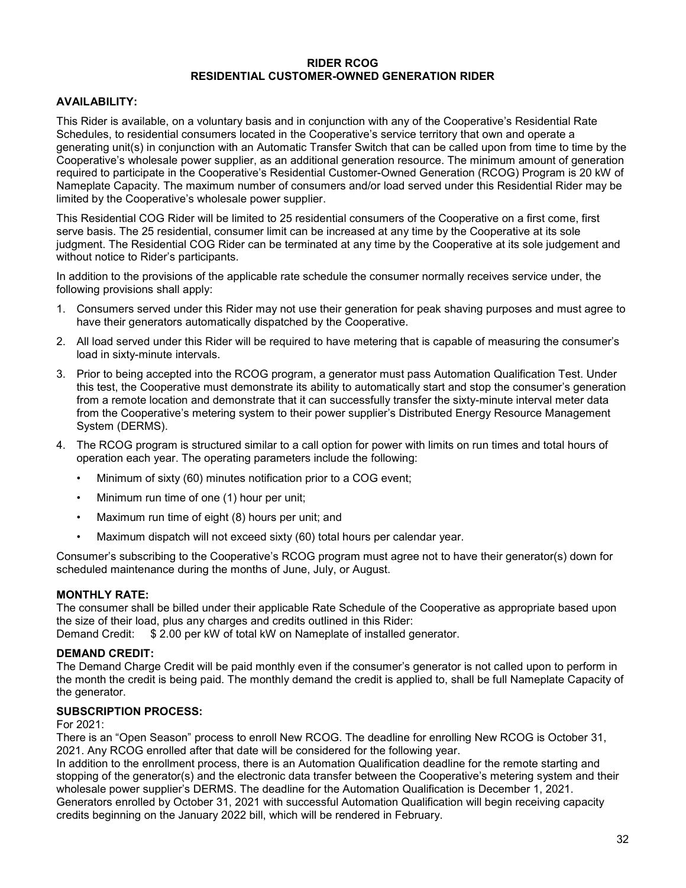#### **RIDER RCOG RESIDENTIAL CUSTOMER-OWNED GENERATION RIDER**

#### **AVAILABILITY:**

This Rider is available, on a voluntary basis and in conjunction with any of the Cooperative's Residential Rate Schedules, to residential consumers located in the Cooperative's service territory that own and operate a generating unit(s) in conjunction with an Automatic Transfer Switch that can be called upon from time to time by the Cooperative's wholesale power supplier, as an additional generation resource. The minimum amount of generation required to participate in the Cooperative's Residential Customer-Owned Generation (RCOG) Program is 20 kW of Nameplate Capacity. The maximum number of consumers and/or load served under this Residential Rider may be limited by the Cooperative's wholesale power supplier.

This Residential COG Rider will be limited to 25 residential consumers of the Cooperative on a first come, first serve basis. The 25 residential, consumer limit can be increased at any time by the Cooperative at its sole judgment. The Residential COG Rider can be terminated at any time by the Cooperative at its sole judgement and without notice to Rider's participants.

In addition to the provisions of the applicable rate schedule the consumer normally receives service under, the following provisions shall apply:

- 1. Consumers served under this Rider may not use their generation for peak shaving purposes and must agree to have their generators automatically dispatched by the Cooperative.
- 2. All load served under this Rider will be required to have metering that is capable of measuring the consumer's load in sixty-minute intervals.
- 3. Prior to being accepted into the RCOG program, a generator must pass Automation Qualification Test. Under this test, the Cooperative must demonstrate its ability to automatically start and stop the consumer's generation from a remote location and demonstrate that it can successfully transfer the sixty-minute interval meter data from the Cooperative's metering system to their power supplier's Distributed Energy Resource Management System (DERMS).
- 4. The RCOG program is structured similar to a call option for power with limits on run times and total hours of operation each year. The operating parameters include the following:
	- Minimum of sixty (60) minutes notification prior to a COG event;
	- Minimum run time of one (1) hour per unit;
	- Maximum run time of eight (8) hours per unit; and
	- Maximum dispatch will not exceed sixty (60) total hours per calendar year.

Consumer's subscribing to the Cooperative's RCOG program must agree not to have their generator(s) down for scheduled maintenance during the months of June, July, or August.

#### **MONTHLY RATE:**

The consumer shall be billed under their applicable Rate Schedule of the Cooperative as appropriate based upon the size of their load, plus any charges and credits outlined in this Rider: Demand Credit: \$ 2.00 per kW of total kW on Nameplate of installed generator.

#### **DEMAND CREDIT:**

The Demand Charge Credit will be paid monthly even if the consumer's generator is not called upon to perform in the month the credit is being paid. The monthly demand the credit is applied to, shall be full Nameplate Capacity of the generator.

#### **SUBSCRIPTION PROCESS:**

#### For 2021:

There is an "Open Season" process to enroll New RCOG. The deadline for enrolling New RCOG is October 31, 2021. Any RCOG enrolled after that date will be considered for the following year.

In addition to the enrollment process, there is an Automation Qualification deadline for the remote starting and stopping of the generator(s) and the electronic data transfer between the Cooperative's metering system and their wholesale power supplier's DERMS. The deadline for the Automation Qualification is December 1, 2021. Generators enrolled by October 31, 2021 with successful Automation Qualification will begin receiving capacity credits beginning on the January 2022 bill, which will be rendered in February.